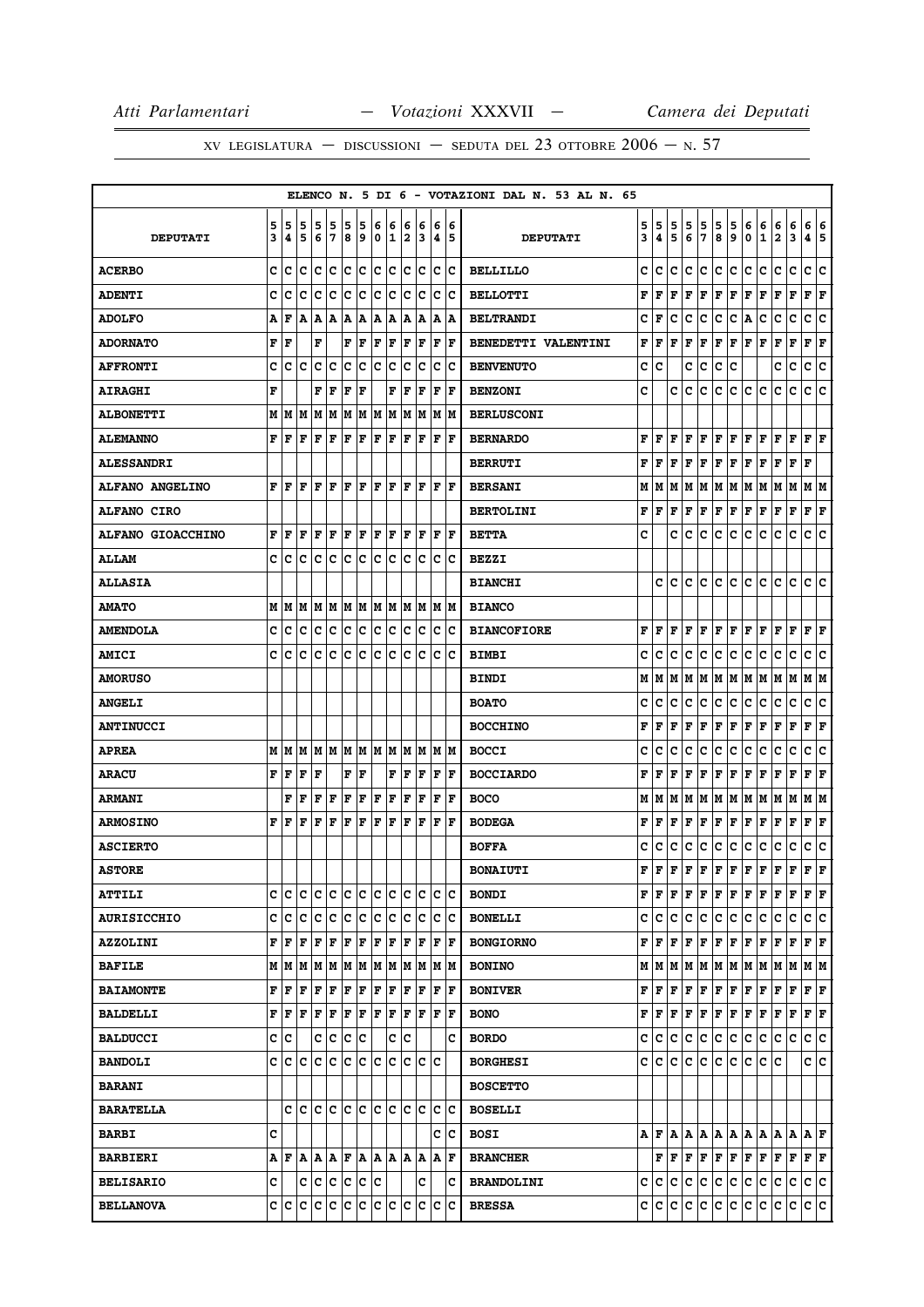|                          |   |      |                              |     |             |     |     |     |                           |     |      |             |                      |     | ELENCO N. 5 DI 6 - VOTAZIONI DAL N. 53 AL N. 65 |   |                                       |        |             |                                                                  |             |     |     |                                                                                                                                                                                                   |              |             |                      |     |
|--------------------------|---|------|------------------------------|-----|-------------|-----|-----|-----|---------------------------|-----|------|-------------|----------------------|-----|-------------------------------------------------|---|---------------------------------------|--------|-------------|------------------------------------------------------------------|-------------|-----|-----|---------------------------------------------------------------------------------------------------------------------------------------------------------------------------------------------------|--------------|-------------|----------------------|-----|
|                          | 5 | 5    | 5                            | 5   | 5           | 5   | 5   | 6   | 6                         | 6   | 6    | 6           |                      | 6   |                                                 | 5 | 5                                     |        | 5           |                                                                  | 5           | 5   | 6   | 6                                                                                                                                                                                                 | 6            | 6           | 6                    | 6   |
| <b>DEPUTATI</b>          | 3 | 4    | 5                            | 6   | 17          | 8   | و   | 0   | 1                         | 2   | 3    | 4           | 15                   |     | <b>DEPUTATI</b>                                 | 3 | 4                                     | 5<br>5 | 6           | 5<br>7                                                           | 8           | 9   | 0   | $\mathbf{1}$                                                                                                                                                                                      | $\mathbf{2}$ | 3           | 45                   |     |
| <b>ACERBO</b>            | c | ١c   | ١c                           | lc  | lc          | lc  | lc. | lc. | Iс                        | lc. | Ιc   | lc.         |                      | Ιc  | <b>BELLILLO</b>                                 | c | c                                     | c      | с           | lc.                                                              | c           | lc. | c   | c                                                                                                                                                                                                 | c            | c           | c                    | lc. |
| <b>ADENTI</b>            | c | Iс   | lc                           | Ιc  | Ιc          | c   | ١c  | lc. | c                         | c   | Iс   | c           |                      | Ιc  | <b>BELLOTTI</b>                                 | F | F                                     | F      | F           | F                                                                | $\mathbf F$ | F   | F   | F                                                                                                                                                                                                 | F            | F           | F F                  |     |
| <b>ADOLFO</b>            | Α | F    | A                            | A   | A           | A   | ١A  | A   | A                         | Α   | A    | Α           |                      | A   | <b>BELTRANDI</b>                                | c | F                                     | c      | c           | с                                                                | c           | с   | Α   | c                                                                                                                                                                                                 | c            | с           | с                    | c   |
| <b>ADORNATO</b>          | F | ١F   |                              | F   |             | F   | F   | F   | F                         | F   | F    | F           |                      | lF. | <b>BENEDETTI VALENTINI</b>                      | F | F                                     | F      | F           | F                                                                | F           | F   | F   | F                                                                                                                                                                                                 | F            | F           | ${\bf F}$ ${\bf F}$  |     |
| <b>AFFRONTI</b>          | c | c    | c                            | Iс  | C           | c   | c   | c   | c                         | C   | c    | c           |                      | c   | <b>BENVENUTO</b>                                | c | c                                     |        | c           | с                                                                | c           | c   |     |                                                                                                                                                                                                   | c            | c           | c                    | c   |
| <b>AIRAGHI</b>           | F |      |                              | F   | F           | ΙF  | l F |     | F                         | ΙF  | ΙF   | $\mathbf F$ | F                    |     | <b>BENZONI</b>                                  | C |                                       | c      | $\mathbf c$ | c                                                                | c           | c   | c   | c                                                                                                                                                                                                 | c            | c           | c                    | lc  |
| <b>ALBONETTI</b>         |   |      | M   M   M   M   M            |     |             | M   |     |     | M   M   M                 | M   | M    |             | M M                  |     | <b>BERLUSCONI</b>                               |   |                                       |        |             |                                                                  |             |     |     |                                                                                                                                                                                                   |              |             |                      |     |
| <b>ALEMANNO</b>          | F | ١F   | F                            | l F | F           | F   | F   | F   | F                         | F   | F    | F           | l F                  |     | <b>BERNARDO</b>                                 | F | l F                                   | F      | F           | F                                                                | F           | F   | F   | F                                                                                                                                                                                                 | F            | F           | F                    | ΙF  |
| <b>ALESSANDRI</b>        |   |      |                              |     |             |     |     |     |                           |     |      |             |                      |     | <b>BERRUTI</b>                                  | F | F                                     | F      | F           | F                                                                | F           | F   | F   | F                                                                                                                                                                                                 | F            | F           | F                    |     |
| <b>ALFANO ANGELINO</b>   | F | F    | F                            | F   | ΙF          | F   | l F | F   | F                         | F   | F    | F           |                      | lF. | <b>BERSANI</b>                                  | М | M                                     | M      | М           | M                                                                | M           | M   | M   | M                                                                                                                                                                                                 | M            | M           | M  M                 |     |
| <b>ALFANO CIRO</b>       |   |      |                              |     |             |     |     |     |                           |     |      |             |                      |     | <b>BERTOLINI</b>                                | F | l F                                   | F      | F           | F                                                                | Г           | F   | F   | F                                                                                                                                                                                                 | F            | F           | $ {\bf F}  {\bf F} $ |     |
| <b>ALFANO GIOACCHINO</b> | F | F    | F                            | F   | l F         | ΙF  | l F | ΙF  | F                         | l F | F    | F           |                      | lF. | <b>BETTA</b>                                    | c |                                       | c      | c           | с                                                                | c           | c   | с   | c                                                                                                                                                                                                 | c            | c           | c                    | ∣c  |
| <b>ALLAM</b>             | c | c    | ١c                           | lc. | lc          | lc  | lc. | lc  | lc.                       | c   | lc   | lc.         |                      | lc  | <b>BEZZI</b>                                    |   |                                       |        |             |                                                                  |             |     |     |                                                                                                                                                                                                   |              |             |                      |     |
| <b>ALLASIA</b>           |   |      |                              |     |             |     |     |     |                           |     |      |             |                      |     | <b>BIANCHI</b>                                  |   | c                                     | lc.    | c           | lc.                                                              | lc.         | lc. | lc. | lc.                                                                                                                                                                                               | с            | c           | C                    | ١c  |
| <b>AMATO</b>             |   | MИ   | M                            | M   | M           | M   | M   |     | M  M                      | M   | lМ   | м           |                      | lМ  | <b>BIANCO</b>                                   |   |                                       |        |             |                                                                  |             |     |     |                                                                                                                                                                                                   |              |             |                      |     |
| <b>AMENDOLA</b>          | c | ١c   | lc.                          |     | c c         |     | c c |     | c c                       | lc. | Ιc   |             | lc Ic                |     | <b>BIANCOFIORE</b>                              |   | F F F                                 |        | lF.         | F                                                                | F           | F   | F   | F                                                                                                                                                                                                 | F            | F           | $ {\bf F}  {\bf F} $ |     |
| <b>AMICI</b>             | c | с    | c                            | с   | c           | Ιc  | c   | c   | c                         | c   | c    | с           |                      | Ιc  | <b>BIMBI</b>                                    | c | с                                     | c      | c           | с                                                                | с           | с   | с   | с                                                                                                                                                                                                 | с            | с           | с                    | Iс  |
| <b>AMORUSO</b>           |   |      |                              |     |             |     |     |     |                           |     |      |             |                      |     | <b>BINDI</b>                                    | М | M                                     | M      | М           | M                                                                | M           | M   | M   | M                                                                                                                                                                                                 | M            | M           | MM                   |     |
| <b>ANGELI</b>            |   |      |                              |     |             |     |     |     |                           |     |      |             |                      |     | <b>BOATO</b>                                    | c | c                                     | c      | c           | с                                                                | c           | c   | с   | c                                                                                                                                                                                                 | c            | c           | c                    | c   |
| <b>ANTINUCCI</b>         |   |      |                              |     |             |     |     |     |                           |     |      |             |                      |     | <b>BOCCHINO</b>                                 | F | F                                     | F      | F           | F                                                                | $\mathbf F$ | F   | F   | F                                                                                                                                                                                                 | F            | F           | F                    | F   |
| <b>APREA</b>             |   | MM   |                              |     |             |     |     |     | M  M  M  M  M  M  M       |     |      | M  M  M  M  |                      |     | <b>BOCCI</b>                                    | c | с                                     | c      | c           | с                                                                | c           | c   | с   | c                                                                                                                                                                                                 | c            | c           | с                    | lc. |
| <b>ARACU</b>             | F | l F  | F                            | F   |             | F   | F   |     | F                         | ΙF  | F    | F           | l F                  |     | <b>BOCCIARDO</b>                                | F | F                                     | F      | F           | F                                                                | $\mathbf F$ | F   | F   | F                                                                                                                                                                                                 | F            | $\mathbf F$ | F                    | ΙF  |
| <b>ARMANI</b>            |   | F    | F                            | F   | F           | F   | F   | F   | F                         | F   | F    | F           | l F                  |     | <b>BOCO</b>                                     | М | M                                     | M      |             | MMMMM                                                            |             |     | M M |                                                                                                                                                                                                   | MM           |             | M M                  |     |
| <b>ARMOSINO</b>          | F | l F  | F                            | F   | F           | F   | F   | F   | F                         | F   | F    | F           |                      | F   | <b>BODEGA</b>                                   | F | F                                     | F      | F           | F                                                                | F           | F   | F   | F                                                                                                                                                                                                 | F            | F           | Г                    | F   |
| <b>ASCIERTO</b>          |   |      |                              |     |             |     |     |     |                           |     |      |             |                      |     | <b>BOFFA</b>                                    | c | c                                     | c      | c           | c                                                                | c           | c   | c   | c                                                                                                                                                                                                 | с            | c           | c                    | ∣c  |
| <b>ASTORE</b>            |   |      |                              |     |             |     |     |     |                           |     |      |             |                      |     | <b>BONAIUTI</b>                                 | F | ١F                                    |        |             | $ {\bf F}  {\bf F}  {\bf F}  {\bf F}  {\bf F}  {\bf F}  {\bf F}$ |             |     |     |                                                                                                                                                                                                   | F            | F           | F                    | l F |
| <b>ATTILI</b>            |   |      | c  c  c  c  c                |     |             |     | c c |     | c c                       |     | c  c |             | ∣c ∣c                |     | <b>BONDI</b>                                    |   | ${\bf F} \parallel {\bf F} \parallel$ | F      | F           | F                                                                | F           | F   | F   | F                                                                                                                                                                                                 | F            | F           | $F$ $\bf{F}$         |     |
| <b>AURISICCHIO</b>       |   |      | c c c c c c c c c c          |     |             |     |     |     |                           |     | c c  |             | c c                  |     | <b>BONELLI</b>                                  |   | c c c                                 |        | ∣c∶         | c c c                                                            |             |     | c.  | lc.                                                                                                                                                                                               | lc.          | lc.         | c c                  |     |
| <b>AZZOLINI</b>          |   | F F  | l F                          | F   | F           | F   | F   | F   | F                         | F   | F    | F           | ١F                   |     | <b>BONGIORNO</b>                                |   | F   F                                 | F      | F           | F                                                                | F           | F   | F   | F                                                                                                                                                                                                 | F            | F           | $F$ $\bf{F}$         |     |
| <b>BAFILE</b>            |   |      | M   M   M   M   M   M        |     |             |     |     |     | MM                        |     | M M  |             | M  M                 |     | <b>BONINO</b>                                   |   |                                       |        |             |                                                                  |             |     |     |                                                                                                                                                                                                   |              |             | M M                  |     |
| <b>BAIAMONTE</b>         |   | F  F | F                            | F F |             | F   | F   | F   | F                         | F   | F    | $\mathbf F$ |                      | lF. | <b>BONIVER</b>                                  | F | lF.                                   | F      | F           | F                                                                | F F         |     | F F |                                                                                                                                                                                                   | F            | F           | F F                  |     |
| <b>BALDELLI</b>          |   | F F  | F                            | F   | $\vert$ F   | F F |     |     | F F                       | F   | ١F   |             | $ {\bf F}  {\bf F} $ |     | <b>BONO</b>                                     | F |                                       |        |             | F   F   F   F   F   F   F                                        |             |     |     |                                                                                                                                                                                                   | F F          |             | $ {\bf F}  {\bf F} $ |     |
| <b>BALDUCCI</b>          |   | c  c |                              |     | c c         | c c |     |     | c                         | lc. |      |             |                      | c   | <b>BORDO</b>                                    | c | lc.                                   | c.     | lc.         | c                                                                | ∣c∙         | c   | c.  | lc.                                                                                                                                                                                               | c            | Iс          | c c                  |     |
| <b>BANDOLI</b>           |   |      | c c c                        | c c |             |     |     |     | le le le le               |     |      | lc lc lc    |                      |     | <b>BORGHESI</b>                                 |   | c  c                                  | C      | lc.         | c c                                                              |             | lc. | lc. | lc.                                                                                                                                                                                               | ١c           |             | c  c                 |     |
| <b>BARANI</b>            |   |      |                              |     |             |     |     |     |                           |     |      |             |                      |     | <b>BOSCETTO</b>                                 |   |                                       |        |             |                                                                  |             |     |     |                                                                                                                                                                                                   |              |             |                      |     |
| <b>BARATELLA</b>         |   |      | c le le le le le le le le le |     |             |     |     |     |                           |     |      | c           | ΙC                   |     | <b>BOSELLI</b>                                  |   |                                       |        |             |                                                                  |             |     |     |                                                                                                                                                                                                   |              |             |                      |     |
| <b>BARBI</b>             | c |      |                              |     |             |     |     |     |                           |     |      |             | C C                  |     | <b>BOSI</b>                                     |   |                                       |        |             |                                                                  |             |     |     | $A \,   \, \mathbf{F} \,   \, \mathbf{A} \,   \, \mathbf{A} \,   \, \mathbf{A} \,   \, \mathbf{A} \,   \, \mathbf{A} \,   \, \mathbf{A} \,   \, \mathbf{A} \,   \, \mathbf{A} \,   \, \mathbf{F}$ |              |             |                      |     |
| <b>BARBIERI</b>          |   | A F  |                              |     |             |     |     |     | A  A  A  F  A  A  A  A  A |     |      | Α           | ١F                   |     | <b>BRANCHER</b>                                 |   |                                       |        | F F F F     |                                                                  | F F         |     | F F |                                                                                                                                                                                                   | F F          |             | F F                  |     |
| <b>BELISARIO</b>         | c |      |                              |     | c c c c c c |     |     |     |                           |     | c    |             |                      | Ιc  | <b>BRANDOLINI</b>                               |   |                                       |        |             | c c c c c                                                        | c.          | c.  | c.  | c.                                                                                                                                                                                                | c.           | c.          | c c                  |     |
| <b>BELLANOVA</b>         |   |      | C C C C C C C C C C          |     |             |     |     |     |                           |     |      | c c         | c                    |     | <b>BRESSA</b>                                   |   | C C C                                 |        |             | c c                                                              | c c         |     | c.  | c                                                                                                                                                                                                 | c.           | c           | c c                  |     |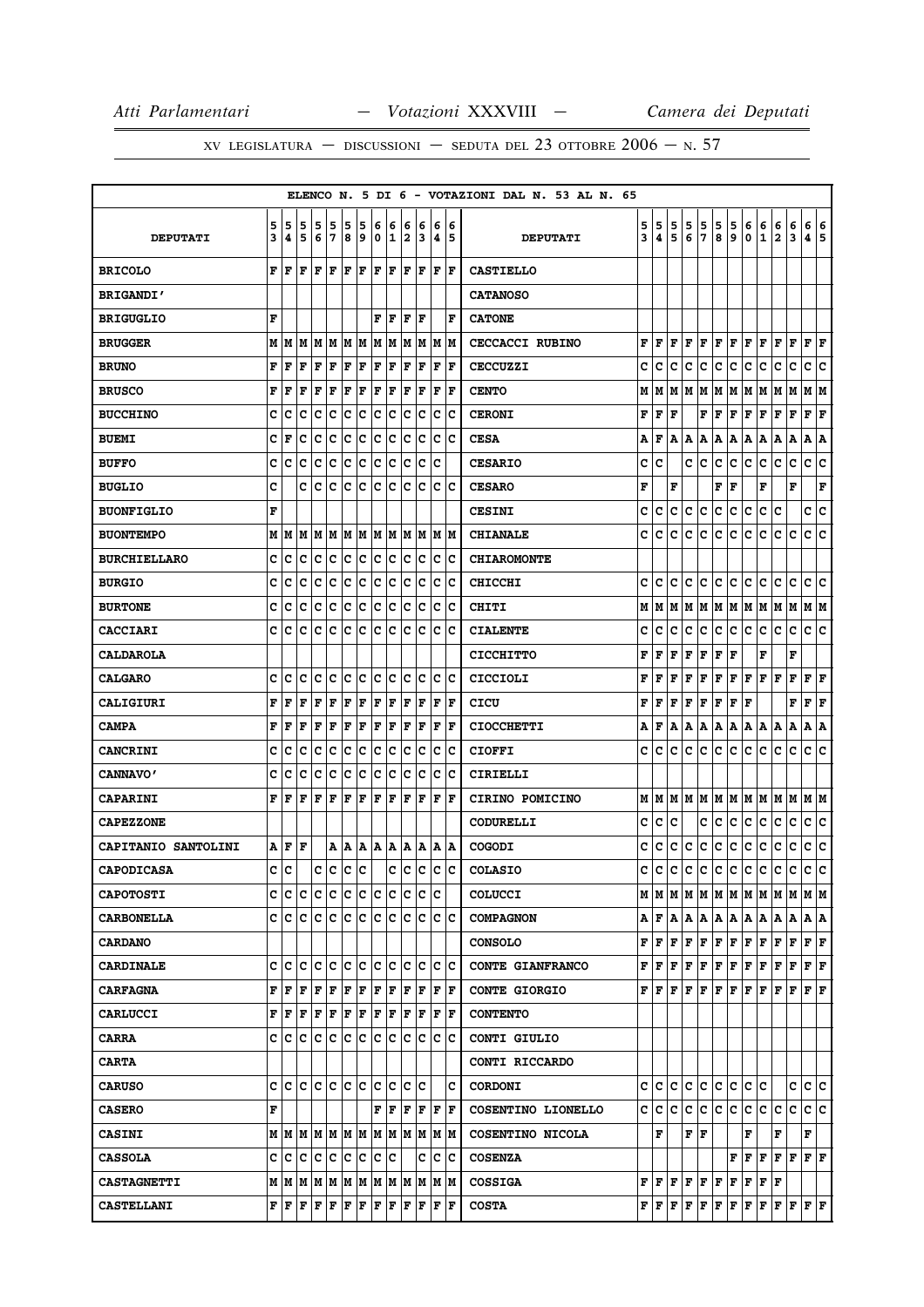|                            |   |         |                                   |     |        |     |     |                      |                           |     |       |                                         |     | ELENCO N. 5 DI 6 - VOTAZIONI DAL N. 53 AL N. 65 |   |                         |     |     |                                                                                                                                                                                                                                                                                                                                                                                    |           |        |                                           |             |                         |              |                        |    |
|----------------------------|---|---------|-----------------------------------|-----|--------|-----|-----|----------------------|---------------------------|-----|-------|-----------------------------------------|-----|-------------------------------------------------|---|-------------------------|-----|-----|------------------------------------------------------------------------------------------------------------------------------------------------------------------------------------------------------------------------------------------------------------------------------------------------------------------------------------------------------------------------------------|-----------|--------|-------------------------------------------|-------------|-------------------------|--------------|------------------------|----|
|                            | 5 | 5       | 5                                 | 5   | 5      | 5   | 5   | 6                    | 6                         | 6   | 6     | 6                                       | 6   |                                                 | 5 | 5                       | 5   | 5   | 5                                                                                                                                                                                                                                                                                                                                                                                  | 5         |        | 6                                         | 6           | 6                       | 6            | 6 6                    |    |
| <b>DEPUTATI</b>            | 3 | 4       | 5                                 | 6   | 7      | 8   | و ا | 0 I                  | 1                         | 2   | 3     | 4   5                                   |     | <b>DEPUTATI</b>                                 | 3 | 4                       | 5   | 6   | 7                                                                                                                                                                                                                                                                                                                                                                                  | 8         | 5<br>9 | 0                                         | $\mathbf 1$ | $\overline{\mathbf{2}}$ | 3            | 4 5                    |    |
| <b>BRICOLO</b>             | F | ١F      | F                                 | F   | l F    | F   | F   | ΙF                   | F                         | F   | F     | F                                       | F   | <b>CASTIELLO</b>                                |   |                         |     |     |                                                                                                                                                                                                                                                                                                                                                                                    |           |        |                                           |             |                         |              |                        |    |
| <b>BRIGANDI'</b>           |   |         |                                   |     |        |     |     |                      |                           |     |       |                                         |     | <b>CATANOSO</b>                                 |   |                         |     |     |                                                                                                                                                                                                                                                                                                                                                                                    |           |        |                                           |             |                         |              |                        |    |
| <b>BRIGUGLIO</b>           | F |         |                                   |     |        |     |     | F                    | F                         | l F | F     |                                         | ΙF  | <b>CATONE</b>                                   |   |                         |     |     |                                                                                                                                                                                                                                                                                                                                                                                    |           |        |                                           |             |                         |              |                        |    |
| <b>BRUGGER</b>             |   |         | $M$   $M$   $M$   $M$   $M$   $M$ |     |        |     |     | MM                   |                           |     |       | M  M  M  M                              |     | <b>CECCACCI RUBINO</b>                          |   | FIF                     |     |     | F F F                                                                                                                                                                                                                                                                                                                                                                              | F F       |        | F F                                       |             | F                       | F            | F F                    |    |
| <b>BRUNO</b>               | F | l F     | ΙF                                | F   | F      | F   | F   | F                    | F                         | F   | F     | F                                       | lF. | <b>CECCUZZI</b>                                 | c | lc.                     | с   | c   | c                                                                                                                                                                                                                                                                                                                                                                                  | с         | c      | с                                         | c           | c                       | c            | c                      | ١c |
| <b>BRUSCO</b>              | F | F       | l F                               | F   | F      | F   | F   | ΙF                   | F                         | ΙF  | F     | F                                       | lF. | <b>CENTO</b>                                    |   |                         |     |     | M   M   M   M                                                                                                                                                                                                                                                                                                                                                                      | M  M      |        | MM                                        |             | M                       | M            | M  M                   |    |
| <b>BUCCHINO</b>            | c | c       | c                                 | c   | c      | c   | c   | c                    | c                         | c   | c     | c                                       | Ιc  | <b>CERONI</b>                                   | F | F                       | l F |     | F                                                                                                                                                                                                                                                                                                                                                                                  | F         | F      | F                                         | F           | F                       | $\mathbf F$  | ${\bf F} \mid {\bf F}$ |    |
| <b>BUEMI</b>               | c | ١F      | c                                 | c   | c      | c   | c   | Ιc                   | c                         | c   | lc.   | c                                       | ١c  | <b>CESA</b>                                     | А | F                       | A   | A   | A                                                                                                                                                                                                                                                                                                                                                                                  | A   A     |        | A                                         | A           | A                       | Α            | A                      | ١A |
| <b>BUFFO</b>               | с | C       | c                                 | c   | c      | c   | c   | c                    | c                         | c   | c     | c                                       |     | <b>CESARIO</b>                                  | c | Ιc                      |     | c   | IC.                                                                                                                                                                                                                                                                                                                                                                                | c         | IС     | с                                         | c           | c                       | с            | c                      | ΙC |
| <b>BUGLIO</b>              | C |         | c                                 | c   | c      | c   | C   | c                    | c                         | c   | c     | c                                       | Ιc  | <b>CESARO</b>                                   | F |                         | F   |     |                                                                                                                                                                                                                                                                                                                                                                                    | F         | ΙF     |                                           | F           |                         | F            |                        | F  |
| <b>BUONFIGLIO</b>          | F |         |                                   |     |        |     |     |                      |                           |     |       |                                         |     | <b>CESINI</b>                                   | c | lc.                     | с   | lc. | c                                                                                                                                                                                                                                                                                                                                                                                  | c         | c      | lc.                                       | c.          | с                       |              | c c                    |    |
| <b>BUONTEMPO</b>           | M | lМ      | M                                 | M M |        |     | MM  |                      | M M                       |     |       | MMMM                                    |     | <b>CHIANALE</b>                                 | c | lc.                     | с   | lc. | С                                                                                                                                                                                                                                                                                                                                                                                  | с         | c      | IC.                                       | Iс          | с                       | ١c           | c c                    |    |
| <b>BURCHIELLARO</b>        | c | ١c      | Iс                                | Iс  | Iс     | Iс  | Iс  | Ιc                   | Iс                        | Ιc  | Iс    | Iс                                      | Iс  | <b>CHIAROMONTE</b>                              |   |                         |     |     |                                                                                                                                                                                                                                                                                                                                                                                    |           |        |                                           |             |                         |              |                        |    |
| <b>BURGIO</b>              | c | c       | c                                 | Iс  | c      | c   | ∣c  | c c                  |                           | lc. | Ιc    | lc.                                     | ΙC  | <b>CHICCHI</b>                                  |   | C C                     |     | c c |                                                                                                                                                                                                                                                                                                                                                                                    |           |        | c  c  c  c  c                             |             | с                       | lc.          | c c                    |    |
| <b>BURTONE</b>             | c | c       | c                                 | с   | c      | c   | c   | c                    | с                         | с   | Ιc    | c                                       | Ιc  | CHITI                                           |   | MIM                     |     | M M |                                                                                                                                                                                                                                                                                                                                                                                    | M   M   M |        | MM                                        |             | M                       | M            | M  M                   |    |
| <b>CACCIARI</b>            | c | c       | c                                 | Iс  | c      | Ιc  | c   | Ιc                   | Iс                        | lc. | Iс    | c                                       | Ιc  | <b>CIALENTE</b>                                 | c | ١c                      | c   | c   | c                                                                                                                                                                                                                                                                                                                                                                                  | с         | c      | с                                         | Iс          | c                       | с            | c                      | ١c |
| <b>CALDAROLA</b>           |   |         |                                   |     |        |     |     |                      |                           |     |       |                                         |     | <b>CICCHITTO</b>                                | F | l F                     | F   | F   | F                                                                                                                                                                                                                                                                                                                                                                                  | F         | l F    |                                           | F           |                         | F            |                        |    |
| <b>CALGARO</b>             | C | lс      | C                                 | c   | lc.    | lc. | lc. | lc.                  | lc.                       | lc. | lc    | lc.                                     | lc  | CICCIOLI                                        | F | l F                     | F   | F   | F                                                                                                                                                                                                                                                                                                                                                                                  | F         | F      | F                                         | F           | F                       | F            | $ {\bf F}  {\bf F} $   |    |
| <b>CALIGIURI</b>           | F | l F     | l F                               | F   | l F    | F   | F   | F                    | F                         | lF. | F     | l F                                     | lF. | CICU                                            | F | lF.                     |     | F F | F                                                                                                                                                                                                                                                                                                                                                                                  |           | F F F  |                                           |             |                         | F            | $ {\bf F}  {\bf F} $   |    |
| <b>CAMPA</b>               | F | F       | F                                 | F   | F      | F   | F   | F                    | F                         | F   | F     | F                                       | F   | <b>CIOCCHETTI</b>                               | A | lF.                     | A   | A   | A                                                                                                                                                                                                                                                                                                                                                                                  | Α         | A      | A                                         | A           | Α                       | А            | А                      | ١A |
| <b>CANCRINI</b>            | с | Ιc      | c                                 | Iс  | c      | c   | Iс  | lc.                  | Iс                        | lc. | Ιc    | lc.                                     | Iс  | <b>CIOFFI</b>                                   | c | IC.                     | lc. | lc. | c                                                                                                                                                                                                                                                                                                                                                                                  | c         | lc.    | c.                                        | lc.         | c                       | $\mathbf{C}$ | c c                    |    |
| <b>CANNAVO'</b>            | c | c       | c                                 | c   | c      | c   | c   | c                    | с                         | c   | Ιc    | с                                       | Ιc  | CIRIELLI                                        |   |                         |     |     |                                                                                                                                                                                                                                                                                                                                                                                    |           |        |                                           |             |                         |              |                        |    |
| <b>CAPARINI</b>            | F | ١F      | l F                               | F   | F      | F   | F   | F                    | F                         | F   | F     | F                                       | ١F  | CIRINO POMICINO                                 |   |                         |     |     | MMMMMMMMMMMMMMM                                                                                                                                                                                                                                                                                                                                                                    |           |        |                                           |             |                         |              |                        |    |
| <b>CAPEZZONE</b>           |   |         |                                   |     |        |     |     |                      |                           |     |       |                                         |     | CODURELLI                                       | c | lc.                     | c   |     | c                                                                                                                                                                                                                                                                                                                                                                                  | c         | c      | c                                         | c           | c                       | c            | c c                    |    |
| <b>CAPITANIO SANTOLINI</b> |   | AF      | F                                 |     | A      | A   | A   | A                    | ١A                        |     | A   A | A  A                                    |     | COGODI                                          | c | c                       | c   | IC. | c                                                                                                                                                                                                                                                                                                                                                                                  | c c       |        | c                                         | lc.         | c                       | c            | c c                    |    |
| <b>CAPODICASA</b>          | c | ١c      |                                   | c   | lc lc. |     | lc. |                      |                           |     |       | c c c c c                               |     | <b>COLASIO</b>                                  |   | c Ic                    |     |     | le le le le le le le le le le le                                                                                                                                                                                                                                                                                                                                                   |           |        |                                           |             |                         |              |                        |    |
| <b>CAPOTOSTI</b>           |   |         |                                   |     |        |     |     |                      | C C C C C C C C C C C C C |     |       |                                         |     | COLUCCI                                         |   |                         |     |     |                                                                                                                                                                                                                                                                                                                                                                                    |           |        |                                           |             |                         |              |                        |    |
| <b>CARBONELLA</b>          |   |         |                                   |     |        |     |     |                      |                           |     |       | e le le le le le le le le le le le le l |     | <b>COMPAGNON</b>                                |   |                         |     |     |                                                                                                                                                                                                                                                                                                                                                                                    |           |        |                                           |             |                         |              |                        |    |
| <b>CARDANO</b>             |   |         |                                   |     |        |     |     |                      |                           |     |       |                                         |     | <b>CONSOLO</b>                                  |   | $F$ $F$ $F$ $F$ $\cdot$ |     |     | F F F                                                                                                                                                                                                                                                                                                                                                                              |           |        | F F                                       |             | F                       | F            | F F                    |    |
| <b>CARDINALE</b>           |   | c  c  c |                                   | c c |        | c c |     | c c                  |                           |     | c c   | c c                                     |     | CONTE GIANFRANCO                                |   |                         |     |     | ${\bf F}\, \,{\bf F}\, \,{\bf F}\, \,{\bf F}\, \,{\bf F}\, \,{\bf F}\, \,{\bf F}\, \,{\bf F}\, \,{\bf F}\, \,{\bf F}\, \,{\bf F}\, \,{\bf F}\, \,$                                                                                                                                                                                                                                 |           |        |                                           |             |                         |              | F F                    |    |
| <b>CARFAGNA</b>            |   | FF      | l F                               | F   | F      | F   | F   | F                    | F                         | lF. | ١F    | $ {\bf F}  {\bf F} $                    |     | <b>CONTE GIORGIO</b>                            |   |                         |     |     | ${\bf F}\, \,{\bf F}\, \,{\bf F}\, \,{\bf F}\, \,{\bf F}\, \,{\bf F}\, \,{\bf F}\, \,{\bf F}\, \,{\bf F}\,$                                                                                                                                                                                                                                                                        |           |        |                                           |             | F                       | lF.          | F F                    |    |
| <b>CARLUCCI</b>            |   | FF      | F                                 | F   | F      | F   | F   | $ {\bf F}  {\bf F} $ |                           |     | F  F  | $ {\bf F}  {\bf F} $                    |     | <b>CONTENTO</b>                                 |   |                         |     |     |                                                                                                                                                                                                                                                                                                                                                                                    |           |        |                                           |             |                         |              |                        |    |
| <b>CARRA</b>               |   |         |                                   |     |        |     |     |                      |                           |     |       | e le le le le le le le le le le le le   |     | CONTI GIULIO                                    |   |                         |     |     |                                                                                                                                                                                                                                                                                                                                                                                    |           |        |                                           |             |                         |              |                        |    |
| <b>CARTA</b>               |   |         |                                   |     |        |     |     |                      |                           |     |       |                                         |     | CONTI RICCARDO                                  |   |                         |     |     |                                                                                                                                                                                                                                                                                                                                                                                    |           |        |                                           |             |                         |              |                        |    |
| <b>CARUSO</b>              |   |         | c c c c c c c c c c               |     |        |     |     |                      |                           |     | lc Ic |                                         | c   | <b>CORDONI</b>                                  |   |                         |     |     | C C C C C                                                                                                                                                                                                                                                                                                                                                                          | c c       |        | c c                                       |             |                         | c  c  c      |                        |    |
| <b>CASERO</b>              | F |         |                                   |     |        |     |     |                      | FF                        | F   | ١F    | ΙF                                      | F   | COSENTINO LIONELLO                              |   | c c c                   |     | lc. | IC.                                                                                                                                                                                                                                                                                                                                                                                | c c       |        | с                                         | lc.         | с                       | c            | c c                    |    |
| <b>CASINI</b>              |   |         | MMM                               |     |        |     |     |                      | MMMMMMM                   |     | M M   | M M                                     |     | COSENTINO NICOLA                                |   | F                       |     |     | F F                                                                                                                                                                                                                                                                                                                                                                                |           |        | F                                         |             | F                       |              | F                      |    |
| <b>CASSOLA</b>             |   | c c c   |                                   | c c |        | c c |     | c c                  |                           |     | c     | c                                       | Ιc  | <b>COSENZA</b>                                  |   |                         |     |     |                                                                                                                                                                                                                                                                                                                                                                                    |           |        | ${\bf F} \,   \, {\bf F} \,   \, {\bf F}$ |             | $ {\bf F}  {\bf F} $    |              | F  F                   |    |
| <b>CASTAGNETTI</b>         |   |         |                                   |     |        |     |     |                      |                           |     |       |                                         |     | <b>COSSIGA</b>                                  |   |                         |     |     | ${\bf F}\, \,{\bf F}\, \,{\bf F}\, \,{\bf F}\, \,{\bf F}\, \,{\bf F}\, \,{\bf F}\, \,{\bf F}\, \,{\bf F}\, \,{\bf F}\, \,{\bf F}\,$                                                                                                                                                                                                                                                |           |        |                                           |             |                         |              |                        |    |
| <b>CASTELLANI</b>          |   |         | F F F F F F                       |     |        |     | F F |                      | F F                       |     |       | F F F                                   |     | <b>COSTA</b>                                    |   |                         |     |     | ${\bf F}\, {\bf F}\, {\bf F}\, {\bf F}\, {\bf F}\, {\bf F}\, {\bf F}\, {\bf F}\, {\bf F}\, {\bf F}\, {\bf F}\, {\bf F}\, {\bf F}\, {\bf F}\, {\bf F}\, {\bf F}\, {\bf F}\, {\bf F}\, {\bf F}\, {\bf F}\, {\bf F}\, {\bf F}\, {\bf F}\, {\bf F}\, {\bf F}\, {\bf F}\, {\bf F}\, {\bf F}\, {\bf F}\, {\bf F}\, {\bf F}\, {\bf F}\, {\bf F}\, {\bf F}\, {\bf F}\, {\bf F}\, {\bf F}\$ |           |        |                                           |             |                         |              |                        |    |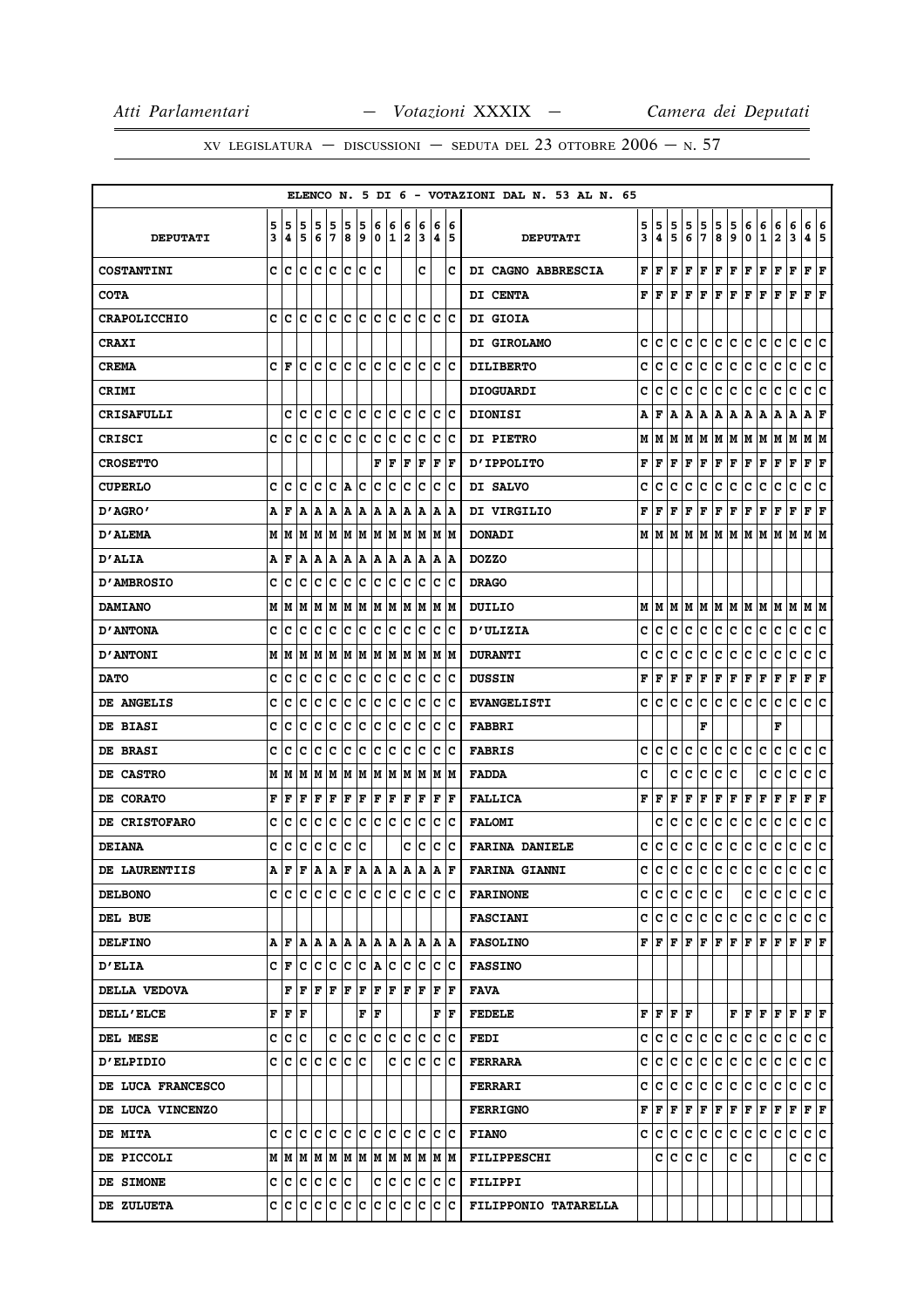|                          |        |                                           |        |                         |        |        |                   |                  |                   |        |                        |        |                                       | ELENCO N. 5 DI 6 - VOTAZIONI DAL N. 53 AL N. 65 |        |                                      |              |        |        |                   |          |        |                                                                                                         |                   |         |                        |        |
|--------------------------|--------|-------------------------------------------|--------|-------------------------|--------|--------|-------------------|------------------|-------------------|--------|------------------------|--------|---------------------------------------|-------------------------------------------------|--------|--------------------------------------|--------------|--------|--------|-------------------|----------|--------|---------------------------------------------------------------------------------------------------------|-------------------|---------|------------------------|--------|
| <b>DEPUTATI</b>          | 5<br>3 | 5<br>4                                    | 5<br>5 | 5<br>6                  | 5<br>7 | 5<br>8 | 5<br>9            | 6<br>$\mathbf 0$ | 6<br>$\mathbf{1}$ | 6<br>2 | 6<br>3                 | 6<br>4 | 6<br>5                                | <b>DEPUTATI</b>                                 | 5<br>3 | 5<br>4                               | 5<br>5       | 5<br>6 | 5<br>7 | 5<br>8            | 5<br>9   | 6<br>0 | 6<br>$\mathbf 1$                                                                                        | 6<br>2            | 6<br>3  | 6<br>4                 | 6<br>5 |
| <b>COSTANTINI</b>        | C      | c                                         | c      | с                       | ١c     | lc.    | lc.               | ١c               |                   |        | c                      |        | c                                     | DI CAGNO ABBRESCIA                              | F      | F                                    | F            | F      | F      | F                 | Г        | F      | F                                                                                                       | F                 | F       | F                      | F      |
| <b>COTA</b>              |        |                                           |        |                         |        |        |                   |                  |                   |        |                        |        |                                       | DI CENTA                                        | F      | F                                    | F            | F      | F      | F                 | F        | F      | l F                                                                                                     | F                 | ΙF      | ${\bf F}$ ${\bf F}$    |        |
| <b>CRAPOLICCHIO</b>      | c      | lc                                        | ١c     | lc.                     | lc     | lc.    | Iс                | lc.              | Iс                | lc.    | Ιc                     |        | $ {\bf c}\> {\bf c}$                  | DI GIOIA                                        |        |                                      |              |        |        |                   |          |        |                                                                                                         |                   |         |                        |        |
| <b>CRAXI</b>             |        |                                           |        |                         |        |        |                   |                  |                   |        |                        |        |                                       | DI GIROLAMO                                     | c      | с                                    | с            | c      | с      | c                 | c        | c      | c                                                                                                       | c                 | c       | c c                    |        |
| <b>CREMA</b>             | c      | ١F                                        | c      | Iс                      | lc     | Ιc     | ١c                | ١c               | Ic                | Ιc     | Ιc                     | lc.    | ΙC                                    | <b>DILIBERTO</b>                                | c      | c                                    | c            | с      | с      | c                 | с        | с      | с                                                                                                       | с                 | c       | c                      | c      |
| <b>CRIMI</b>             |        |                                           |        |                         |        |        |                   |                  |                   |        |                        |        |                                       | <b>DIOGUARDI</b>                                | c      | с                                    | с            | с      | с      | с                 | c        | с      | с                                                                                                       | с                 | c       | c c                    |        |
| <b>CRISAFULLI</b>        |        | c                                         | Ιc     | с                       | Iс     | c      | Iс                | c                | Iс                | c      | Iс                     | Iс     | ΙC                                    | <b>DIONISI</b>                                  | A      | F                                    | А            | А      | А      | Α                 | A        | Α      | А                                                                                                       | Α                 | А       | А                      | F      |
| <b>CRISCI</b>            | c      | с                                         | c      | c                       | c      | c      | c                 | c                | c                 | c      | Iс                     | c      | ∣c                                    | <b>DI PIETRO</b>                                | М      | м                                    | М            | М      | M      |                   |          |        | M  M  M  M  M  M                                                                                        |                   |         | M  M                   |        |
| <b>CROSETTO</b>          |        |                                           |        |                         |        |        |                   | F                | F                 | F      | F                      | F      | F                                     | <b>D'IPPOLITO</b>                               | F      | F                                    | F            | F      | F      | ${\bf F}$ $\bf F$ |          | F      | F                                                                                                       | ${\bf F}$ $\bf F$ |         | ${\bf F} \mid {\bf F}$ |        |
| <b>CUPERLO</b>           | c      | Iс                                        | Iс     | c                       | Iс     | A      | IС                | c                | Iс                | c      | Ιc                     | c      | ΙC                                    | DI SALVO                                        | c      | c                                    | c            | c      | c      | c                 | c        | с      | c                                                                                                       | с                 | c       | c                      | c      |
| "AGRO מ                  | А      | F                                         | ΙA     | A                       | ΙA     | ΙA.    | A                 | A                | ΙA                | ١A     | ΙA                     | ΙA.    | ١A                                    | DI VIRGILIO                                     | F      | F                                    | F            | F      | F      | F                 | F        | F      | Г                                                                                                       | Г                 | F       | ${\bf F} \mid {\bf F}$ |        |
| <b>D'ALEMA</b>           |        | M   M                                     |        | M  M  M  M  M           |        |        |                   |                  |                   |        | M  M  M  M  M  M       |        |                                       | <b>DONADI</b>                                   |        | MIM                                  | м            | м      | M      |                   | IM IM IM |        | IМ                                                                                                      | M                 | lМ      | M  M                   |        |
| <b>D'ALIA</b>            | А      | F                                         | A      | ΙA.                     | ١A     | A  A   |                   | A  A             |                   |        | A   A                  |        | A  A                                  | <b>DOZZO</b>                                    |        |                                      |              |        |        |                   |          |        |                                                                                                         |                   |         |                        |        |
| <b>D'AMBROSIO</b>        | c      | с                                         | c      | c                       | c      | c      | c                 | c                | c                 | c      | c                      | c      | Ιc                                    | <b>DRAGO</b>                                    |        |                                      |              |        |        |                   |          |        |                                                                                                         |                   |         |                        |        |
| <b>DAMIANO</b>           | М      | M                                         | M      | M                       | M      | M      | M                 | MM               |                   |        | M M                    |        | M  M                                  | <b>DUILIO</b>                                   | М      | M                                    | M            | M      |        |                   |          |        | M  M  M  M  M  M  M  M  M                                                                               |                   |         |                        |        |
| <b>D'ANTONA</b>          | c      | с                                         | c      | c                       | Ιc     | c      | c                 | c                | c                 | lc     | lc.                    | Iс     | ΙC                                    | <b>D'ULIZIA</b>                                 | c      | c                                    | c            | с      | c      | c                 | c        | c      | c                                                                                                       | c                 | c       | c                      | ∣c     |
| <b>D'ANTONI</b>          | М      | M                                         | M      | lМ                      | M      | M      | M                 | M  M             |                   | lм     | M                      |        | M  M                                  | <b>DURANTI</b>                                  | c      | c                                    | c            | c      | с      | c                 | с        | с      | с                                                                                                       | c                 | c       | с                      | c      |
| <b>DATO</b>              | c      | c                                         | Iс     | Iс                      | Ιc     | c      | c                 | c                | Iс                | c      | Iс                     | c      | ΙC                                    | <b>DUSSIN</b>                                   | F      | F                                    | F            | F      | F      | F                 | F        | F      | Г                                                                                                       | Г                 | F       | ${\bf F} \mid {\bf F}$ |        |
| <b>DE ANGELIS</b>        | c      | с                                         | c      | c                       | Iс     | Ιc     | Iс                | Iс               | Iс                | Iс     | Ιc                     | Iс     | ΙC                                    | <b>EVANGELISTI</b>                              | c      | c                                    | c            | с      | c      | c                 | с        | c      | c                                                                                                       | с                 | с       | c                      | c      |
| <b>DE BIASI</b>          | c      | с                                         | c      | c                       | Iс     | Ιc     | Iс                | Ιc               | Iс                | Iс     | Iс                     | Iс     | ΙC                                    | <b>FABBRI</b>                                   |        |                                      |              |        | F      |                   |          |        |                                                                                                         | F                 |         |                        |        |
| <b>DE BRASI</b>          | c      | c                                         | c      | c                       | c      | c      | с                 | c                | c                 | c      | c                      | c      | Ιc                                    | <b>FABRIS</b>                                   | с      | c                                    | c            | c      | c      | c                 | с        | с      | с                                                                                                       | c                 | c       | с                      | c      |
| DE CASTRO                | Μ      | M                                         | M      | M                       | M      | M      | M                 | M  M             |                   |        | M M                    |        | M  M                                  | <b>FADDA</b>                                    | c      |                                      | c            | c      | с      | с                 | c        |        | с                                                                                                       | c                 | c       | c                      | c      |
| DE CORATO                | F      | l F                                       | l F    | lF                      | F      | F      | F                 | F                | F                 | F      | F                      | F      | F                                     | <b>FALLICA</b>                                  | F      | F                                    | F            | F      | F      | F                 | F        | F      | F                                                                                                       | F                 | F       | ${\bf F} \mid {\bf F}$ |        |
| <b>DE CRISTOFARO</b>     | c      | с                                         | c      | c                       | Iс     | Ιc     | Iс                | Ιc               | Iс                | Iс     | Iс                     | Iс     | ΙC                                    | <b>FALOMI</b>                                   |        | c                                    | c            | c      | c      | c                 | с        | с      | с                                                                                                       | с                 | с       | c                      | c      |
| <b>DEIANA</b>            | c      | c                                         | c      | c                       | c      | c      | ١c                |                  |                   | c      | Iс                     | c      | Ιc                                    | <b>FARINA DANIELE</b>                           | c      | c                                    | с            | с      | c      | с                 | c        | c      | c                                                                                                       | c                 | с       | c                      | ∣c     |
| DE LAURENTIIS            | A      | l F                                       | l F    | ١A                      | ΙA     | F      | ١A                | A                | ١A                | ١A     | A                      | A      | F                                     | <b>FARINA GIANNI</b>                            | с      | c                                    | c            | с      | с      | c                 | c        | c      | c                                                                                                       | c                 | c       | c                      | c      |
| <b>DELBONO</b>           |        |                                           |        |                         |        |        |                   |                  |                   |        |                        |        | e le le le le le le le le le le le le | <b>FARINONE</b>                                 | c      | c                                    | с            | с      | c      | c                 |          |        | c  c                                                                                                    | c                 | С       | c c                    |        |
| DEL BUE                  |        |                                           |        |                         |        |        |                   |                  |                   |        |                        |        |                                       | <b>FASCIANI</b>                                 | c      | C                                    | c            | c      | c.     | c c               |          | c c    |                                                                                                         | c                 | с       | c c                    |        |
| <b>DELFINO</b>           |        | AFA                                       |        |                         |        |        |                   |                  |                   |        | A  A  A  A  A  A  A  A |        | A  A                                  | <b>FASOLINO</b>                                 |        |                                      |              |        |        |                   |          |        | ${\bf F}[{\bf F}[{\bf F}] {\bf F}[{\bf F}] {\bf F}[{\bf F}] {\bf F}[{\bf F}] {\bf F}[{\bf F}] {\bf F}]$ |                   |         |                        |        |
| <b>D'ELIA</b>            |        | CF                                        |        | C C C C C A C           |        |        |                   |                  |                   |        | c c c c                |        |                                       | <b>FASSINO</b>                                  |        |                                      |              |        |        |                   |          |        |                                                                                                         |                   |         |                        |        |
| <b>DELLA VEDOVA</b>      |        |                                           |        | $F$ $F$ $F$ $F$ $F$ $F$ |        |        |                   |                  |                   |        | F   F   F   F   F      |        |                                       | <b>FAVA</b>                                     |        |                                      |              |        |        |                   |          |        |                                                                                                         |                   |         |                        |        |
| <b>DELL'ELCE</b>         |        | ${\bf F} \,   \, {\bf F} \,   \, {\bf F}$ |        |                         |        |        | ${\bf F}$ $\bf F$ |                  |                   |        |                        |        | F F                                   | <b>FEDELE</b>                                   |        | ${\bf F}$ $\bf{F}$ $\bf{F}$ $\bf{F}$ |              |        |        |                   |          |        | ${\bf F}$ $\bf F$ $\bf F$ $\bf F$ $\bf F$ $\bf F$ $\bf F$                                               |                   |         |                        |        |
| <b>DEL MESE</b>          |        | c c c                                     |        |                         |        |        |                   | c c c c c c c c  |                   |        |                        |        | c c                                   | FEDI                                            | c      | c                                    | c            | c      | c      | c                 | lc.      | c      | c                                                                                                       | c                 | c       | c c                    |        |
| <b>D'ELPIDIO</b>         |        | C C C C C C C                             |        |                         |        |        |                   |                  |                   |        | c c c c c              |        |                                       | FERRARA                                         | c      | с                                    | с            | с      | c      |                   | c c      | c c    |                                                                                                         | c                 | c.      | c c                    |        |
| <b>DE LUCA FRANCESCO</b> |        |                                           |        |                         |        |        |                   |                  |                   |        |                        |        |                                       | <b>FERRARI</b>                                  | c      | c                                    | c            | c      | c      |                   | c c      | c c    |                                                                                                         | c                 | c       | c c                    |        |
| DE LUCA VINCENZO         |        |                                           |        |                         |        |        |                   |                  |                   |        |                        |        |                                       | <b>FERRIGNO</b>                                 |        | ${\tt F}\, {\tt F}\, $               | $\mathbf{F}$ |        |        |                   |          |        | F   F   F   F   F   F   F   F   F                                                                       |                   |         |                        |        |
| <b>DE MITA</b>           |        |                                           |        |                         |        |        |                   |                  |                   |        |                        |        |                                       | <b>FIANO</b>                                    | c      | с                                    | с            |        | C C    | c c               |          |        | c c c c                                                                                                 |                   |         | c c                    |        |
| <b>DE PICCOLI</b>        |        |                                           |        |                         |        |        |                   |                  |                   |        |                        |        |                                       | FILIPPESCHI                                     |        | c                                    | c            | c      | ١c     |                   | c Ic     |        |                                                                                                         |                   | c ic ic |                        |        |
| <b>DE SIMONE</b>         |        | c c c c c c                               |        |                         |        |        |                   |                  |                   |        | c  c  c  c  c  c       |        |                                       | <b>FILIPPI</b>                                  |        |                                      |              |        |        |                   |          |        |                                                                                                         |                   |         |                        |        |
| <b>DE ZULUETA</b>        |        |                                           |        |                         |        |        |                   |                  |                   |        |                        |        |                                       | FILIPPONIO TATARELLA                            |        |                                      |              |        |        |                   |          |        |                                                                                                         |                   |         |                        |        |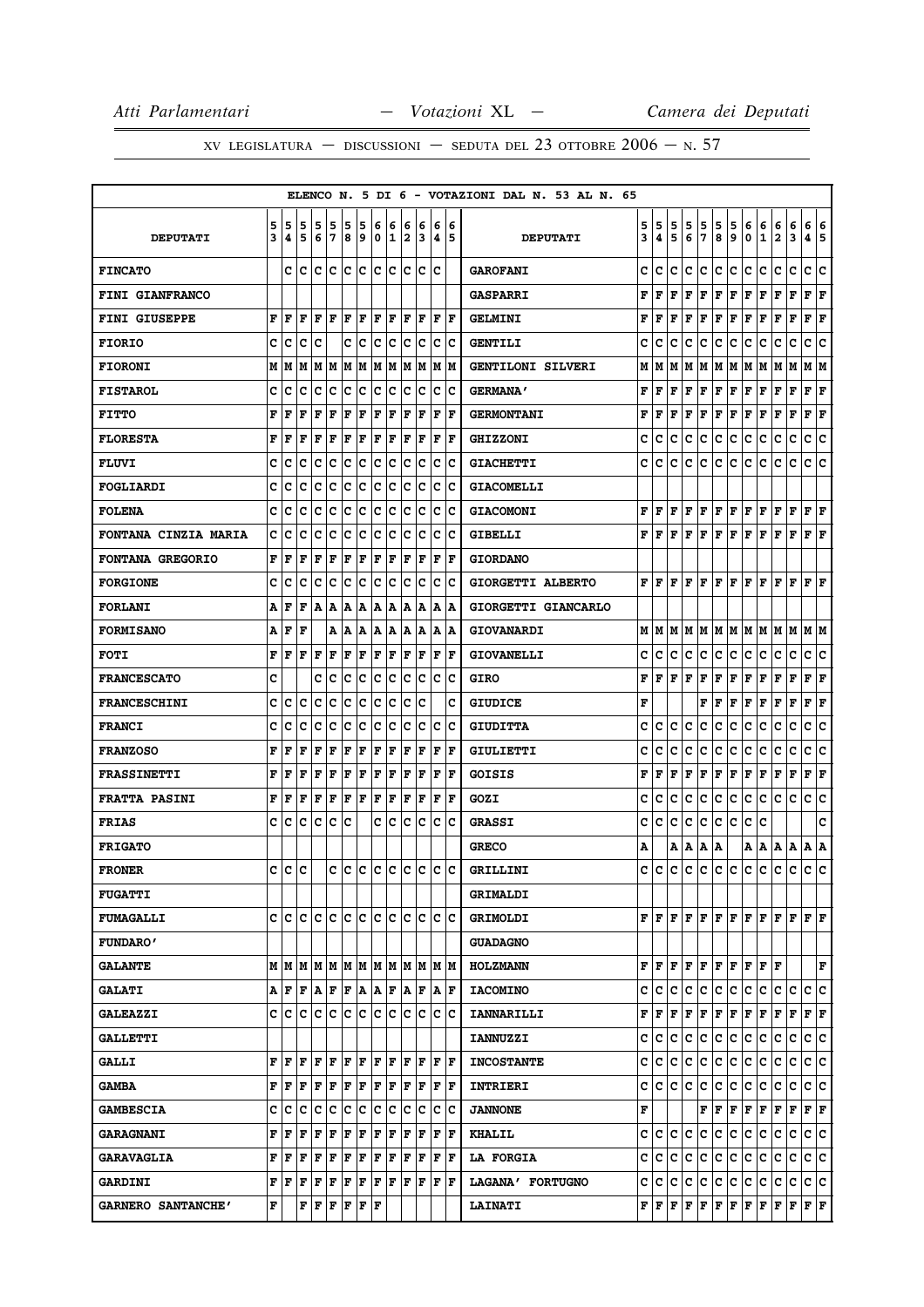|                             |        |               |        |        |        |        |        |        |                 |        |        |        |         | ELENCO N. 5 DI 6 - VOTAZIONI DAL N. 53 AL N. 65 |        |                                      |        |        |                                                                                                                                        |                             |        |        |                   |                   |             |                      |        |
|-----------------------------|--------|---------------|--------|--------|--------|--------|--------|--------|-----------------|--------|--------|--------|---------|-------------------------------------------------|--------|--------------------------------------|--------|--------|----------------------------------------------------------------------------------------------------------------------------------------|-----------------------------|--------|--------|-------------------|-------------------|-------------|----------------------|--------|
| <b>DEPUTATI</b>             | 5<br>3 | 5<br>4        | 5<br>5 | 5<br>6 | 5<br>7 | 5<br>8 | 5<br>و | 6<br>0 | 6<br>11         | 6<br>2 | 6<br>3 | 6<br>4 | 6<br>15 | <b>DEPUTATI</b>                                 | 5<br>3 | 5<br>4                               | 5<br>5 | 5<br>6 | 5<br>7                                                                                                                                 | 5<br>8                      | 5<br>9 | 6<br>0 | 6<br>$\mathbf{1}$ | 6<br>$\mathbf{2}$ | 6<br>3      | 6<br>4               | 6<br>5 |
| <b>FINCATO</b>              |        |               | c Ic   | lc     | lc     | lc.    | lc     | lc.    | lc              | lc.    | lc     | Ιc     |         | <b>GAROFANI</b>                                 | c      | c                                    | c      | c      | c                                                                                                                                      | c                           | lc.    | lc.    | c                 | c                 | c           | c                    | ١c     |
| <b>FINI GIANFRANCO</b>      |        |               |        |        |        |        |        |        |                 |        |        |        |         | <b>GASPARRI</b>                                 | F      | l F                                  | F      | l F    | F                                                                                                                                      | F                           | F      | F      | l F               | F                 | F           | F                    | lF     |
| <b>FINI GIUSEPPE</b>        | F      | F             | F      | F      | l F    | F      | ΙF     | ΙF     | F               | ΙF     | F      | F      | lF.     | <b>GELMINI</b>                                  | F      | l F                                  | F      | l F    | F                                                                                                                                      | F                           | F      | F      | l F               | F                 | F           | F                    | ΙF     |
| <b>FIORIO</b>               | c      | c             | c      | c      |        | c      | ∣c     | c      | c               | c      | lc.    | c      | Ιc      | <b>GENTILI</b>                                  | c      | c                                    | с      | c      | с                                                                                                                                      | c                           | c      | с      | с                 | с                 | c           | c                    | c      |
| <b>FIORONI</b>              | M      | М             | M      | М      | M      | M      | M      | M      | M               | lм     | M      | M      | M       | GENTILONI SILVERI                               | М      | м                                    | М      | M      | M                                                                                                                                      | MM                          |        | М      | M                 | M                 | М           | М                    | lМ     |
| <b>FISTAROL</b>             | C      | c             | C      | c      | C      | c      | c      | c      | lc              | c      | Ιc     | c      | Ιc      | <b>GERMANA'</b>                                 | F      | l F                                  | l F    | l F    | F                                                                                                                                      | F                           | F      | F      | F                 | F                 | $\mathbf F$ | F                    | F      |
| <b>FITTO</b>                | F      | F             | F      | F      | F      | F      | F      | l F    | F               | ΙF     | ΙF     | F      | l F     | <b>GERMONTANI</b>                               | F      | F                                    | F      | F      | F                                                                                                                                      | F                           | F      | F      | F                 | F                 | F           | F                    | F      |
| <b>FLORESTA</b>             | F      | F             | F      | F      | F      | F      | F      | l F    | F               | l F    | F      | F      | l F     | <b>GHIZZONI</b>                                 | c      | c                                    | c      | c      | c                                                                                                                                      | c                           | Ιc     | с      | c                 | c                 | c           | c                    | c      |
| <b>FLUVI</b>                | c      | c             | c      | c      | c      | Ιc     | c      | c      | Iс              | c      | Iс     | c      | Ιc      | <b>GIACHETTI</b>                                | c      | lc.                                  | с      | lc.    | lC.                                                                                                                                    | c                           | lc.    | c      | c                 | с                 | c           | c                    | c      |
| <b>FOGLIARDI</b>            | c      | c             | c      | c      | c      | c      | c      | c      | c               | c      | c      | с      | Ιc      | <b>GIACOMELLI</b>                               |        |                                      |        |        |                                                                                                                                        |                             |        |        |                   |                   |             |                      |        |
| <b>FOLENA</b>               | c      | c             | c      | c      | c      | c      | c      | c      | с               | c      | Ιc     | c      | lc      | <b>GIACOMONI</b>                                |        | F F                                  |        |        | F F F F F                                                                                                                              |                             |        | F F    |                   | F                 | F           | F   F                |        |
| <b>FONTANA CINZIA MARIA</b> | c      | c             | c      | c      | C      | c      | c      | C      | c               | C      | c      | c      | Ιc      | <b>GIBELLI</b>                                  | F      | ١F                                   | F      | l F    | F                                                                                                                                      | F F                         |        | F      | l F               | F                 | l F         | ${\bf F}$ $\bf F$    |        |
| <b>FONTANA GREGORIO</b>     | F      | F             | l F    | F      | l F    | ΙF     | F      | l F    | (F              | l F    | F      | F      | F       | <b>GIORDANO</b>                                 |        |                                      |        |        |                                                                                                                                        |                             |        |        |                   |                   |             |                      |        |
| <b>FORGIONE</b>             | c      | c             | c      | c      | c      | Ιc     | c      | Ιc     | с               | lc     | ١c     | c      | ١c      | GIORGETTI ALBERTO                               |        |                                      |        |        | $F$ $F$ $F$ $F$ $F$                                                                                                                    | F F                         |        | F F    |                   | F                 | l F         | $\bf{F}$ $\bf{F}$    |        |
| <b>FORLANI</b>              | Α      | F             | F      | A      | А      | A      | А      | A      | Α               | Α      | A      | Α      | A       | GIORGETTI GIANCARLO                             |        |                                      |        |        |                                                                                                                                        |                             |        |        |                   |                   |             |                      |        |
| <b>FORMISANO</b>            | А      | l F           | l F    |        |        | A   A  | Α      | A      | A               | A      | A      | Α      | ١A      | <b>GIOVANARDI</b>                               |        |                                      |        |        |                                                                                                                                        |                             |        |        |                   |                   |             |                      |        |
| <b>FOTI</b>                 | F      | F             | F      | F      | F      | F      | F      | F      | F               | ΙF     | F      | F      | F       | <b>GIOVANELLI</b>                               | c      | c                                    | c      | с      | с                                                                                                                                      | c                           | c      | с      | c                 | с                 | c           | с                    | c      |
| <b>FRANCESCATO</b>          | C      |               |        | c      | c      | c      | c      | c      | Ιc              | c      | Iс     | c      | lc      | <b>GIRO</b>                                     | F      | l F                                  | F      | F      | F                                                                                                                                      | F                           | F      | F      | F                 | F                 | $\mathbf F$ | F                    | ΙF     |
| <b>FRANCESCHINI</b>         | C      | c             | c      | c      | C      | C      | c      | C      | c               | c      | c      |        | c       | <b>GIUDICE</b>                                  | F      |                                      |        |        | F                                                                                                                                      | F                           | F      | F      | F                 | F                 | $\mathbf F$ | F                    | F      |
| <b>FRANCI</b>               | c      | c             | c      | c      | c      | c      | c      | c      | с               | c      | lc     | c      | lc      | <b>GIUDITTA</b>                                 | c      | c                                    | c      | с      | c                                                                                                                                      | с                           | c      | c      | c                 | c                 | c           | c                    | c      |
| <b>FRANZOSO</b>             | F      | F             | F      | F      | F      | F      | F      | ΙF     | F               | l F    | F      | l F    | lF.     | <b>GIULIETTI</b>                                | c      | c                                    | c      | c      | c                                                                                                                                      | c                           | c      | c      | c                 | с                 | c           | c                    | c      |
| <b>FRASSINETTI</b>          | F      | F             | F      | F      | F      | F      | F      | F      | F               | F      | F      | F      | l F     | GOISIS                                          | F      | F                                    | F      | F      | F                                                                                                                                      | F                           | F      | F      | F                 | F                 | F           | F                    | F      |
| <b>FRATTA PASINI</b>        | F      | F             | l F    | F      | F      | F      | F      | F      | F               | lF.    | F      | F      | lF.     | GOZI                                            | c      | c                                    | c      | c      | с                                                                                                                                      | с                           | c      | с      | c                 | c                 | c           | c                    | lc.    |
| <b>FRIAS</b>                | c      | c             | c      | c      | c      | c      |        | c      | с               | с      | c      | c      | Ιc      | <b>GRASSI</b>                                   | c      | c                                    | c      | c      | c                                                                                                                                      | c                           | lc.    | c      | c                 |                   |             |                      | c      |
| <b>FRIGATO</b>              |        |               |        |        |        |        |        |        |                 |        |        |        |         | <b>GRECO</b>                                    | Α      |                                      |        | A   A  | ΙA.                                                                                                                                    | ΙA                          |        | A   A  |                   | A                 | A           | A                    | ١A     |
| <b>FRONER</b>               | C      | $\mathbf{c}$  | lc.    |        | c      |        |        |        | c c c c c c c c |        |        |        |         | GRILLINI                                        |        | c lc                                 |        |        | c c c c c c c c c c c                                                                                                                  |                             |        |        |                   |                   |             | lc lc                |        |
| <b>FUGATTI</b>              |        |               |        |        |        |        |        |        |                 |        |        |        |         | <b>GRIMALDI</b>                                 |        |                                      |        |        |                                                                                                                                        |                             |        |        |                   |                   |             |                      |        |
| <b>FUMAGALLI</b>            |        | c le le le le |        |        |        | c c    |        | c c    |                 |        | c c    | c c    |         | <b>GRIMOLDI</b>                                 |        |                                      |        |        | ${\bf F}\, \,{\bf F}\, \,{\bf F}\, \,{\bf F}\, \,{\bf F}\, \,{\bf F}\, \,{\bf F}\, \,{\bf F}\, \,{\bf F}\, \,{\bf F}\, \,{\bf F}\, \,$ |                             |        |        |                   |                   |             | F F                  |        |
| <b>FUNDARO'</b>             |        |               |        |        |        |        |        |        |                 |        |        |        |         | <b>GUADAGNO</b>                                 |        |                                      |        |        |                                                                                                                                        |                             |        |        |                   |                   |             |                      |        |
| <b>GALANTE</b>              |        |               |        |        |        |        |        |        |                 |        |        |        |         | <b>HOLZMANN</b>                                 |        |                                      |        |        | ${\bf F}$ $\bf F$ $\bf F$ $\bf F$ $\bf F$ $\bf F$ $\bf F$ $\bf F$ $\bf F$ $\bf F$                                                      |                             |        |        |                   |                   |             |                      | F      |
| <b>GALATI</b>               |        | AF            | F      | A F    |        | F      | ١A     | A F    |                 | ١A     | l F    | lA.    | ١F      | <b>IACOMINO</b>                                 |        | c  c                                 | с      | c      | c                                                                                                                                      | c                           | c      | c      | c                 | c                 | c           | c                    | ١c     |
| <b>GALEAZZI</b>             |        | c Ic          | lc     | Iс     | c      | c      | c      | c      | Iс              | c      | Iс     | c      | Ιc      | <b>IANNARILLI</b>                               |        | ${\bf F}$ $\bf{F}$ $\bf{F}$ $\bf{F}$ |        |        | F                                                                                                                                      | F F                         |        | F      | F                 | F                 | F           | ${\bf F}$ ${\bf F}$  |        |
| <b>GALLETTI</b>             |        |               |        |        |        |        |        |        |                 |        |        |        |         | <b>IANNUZZI</b>                                 |        | c c                                  | lc.    | lc.    | c                                                                                                                                      | ∣c∙                         | lc.    | lc.    | c                 | c                 | c           | c c                  |        |
| <b>GALLI</b>                | F      | l F           | F      | F      | F      | F      | F      | F      | lF.             | lF.    | lF.    |        | F  F    | <b>INCOSTANTE</b>                               |        | C C                                  | lC.    | с      | C.                                                                                                                                     | c                           | C      | с      | Iс                | c                 | с           | c c                  |        |
| <b>GAMBA</b>                |        | FF            | F      | F      | F      | F      | F      | F      | F               | F      | ١F     |        | F  F    | <b>INTRIERI</b>                                 |        | c c c c                              |        |        | c                                                                                                                                      | c                           | c      | c      | c                 | c                 | c           | c c                  |        |
| <b>GAMBESCIA</b>            |        | c  c          | с      | c      | c      | Ιc     | c      | Ιc     | c               | с      | Iс     | c      | ١c      | <b>JANNONE</b>                                  | F      |                                      |        |        |                                                                                                                                        | ${\bf F}$ $\bf  F $ $\bf F$ |        | F F    |                   | F                 | F           | $ {\bf F}  {\bf F} $ |        |
| <b>GARAGNANI</b>            | F      | F             | F      | F      | F      | F      | F      | F      | F               | F      | F      | F      | F       | <b>KHALIL</b>                                   |        | c c c c                              |        |        | IC.                                                                                                                                    | c.                          | c      | c      | c                 | с                 | с           | c c                  |        |
| <b>GARAVAGLIA</b>           | F      | F             | F      | F      | F      | F      | F      | F      | F               | F      | F      | F      | F       | <b>LA FORGIA</b>                                | c      | IC.                                  | c      | c      | c                                                                                                                                      | с                           | c      | с      | c                 | с                 | с           | c c                  |        |
| <b>GARDINI</b>              | F      | ΙF            | F      | F      | F      | F      | F      | F      | lF              | lF.    | lF     | F      | ١F      | LAGANA' FORTUGNO                                |        | c c c                                |        | c      | c                                                                                                                                      | c                           | c      | c      | c                 | с                 | c           | c c                  |        |
| GARNERO SANTANCHE'          | F      |               | F      | F      | F      | F      | F  F   |        |                 |        |        |        |         | <b>LAINATI</b>                                  |        |                                      |        |        | ${\bf F}$ $\bf F$ $\bf F$ $\bf F$ $\bf F$                                                                                              | F F                         |        | F F    |                   | F                 | F           | F F                  |        |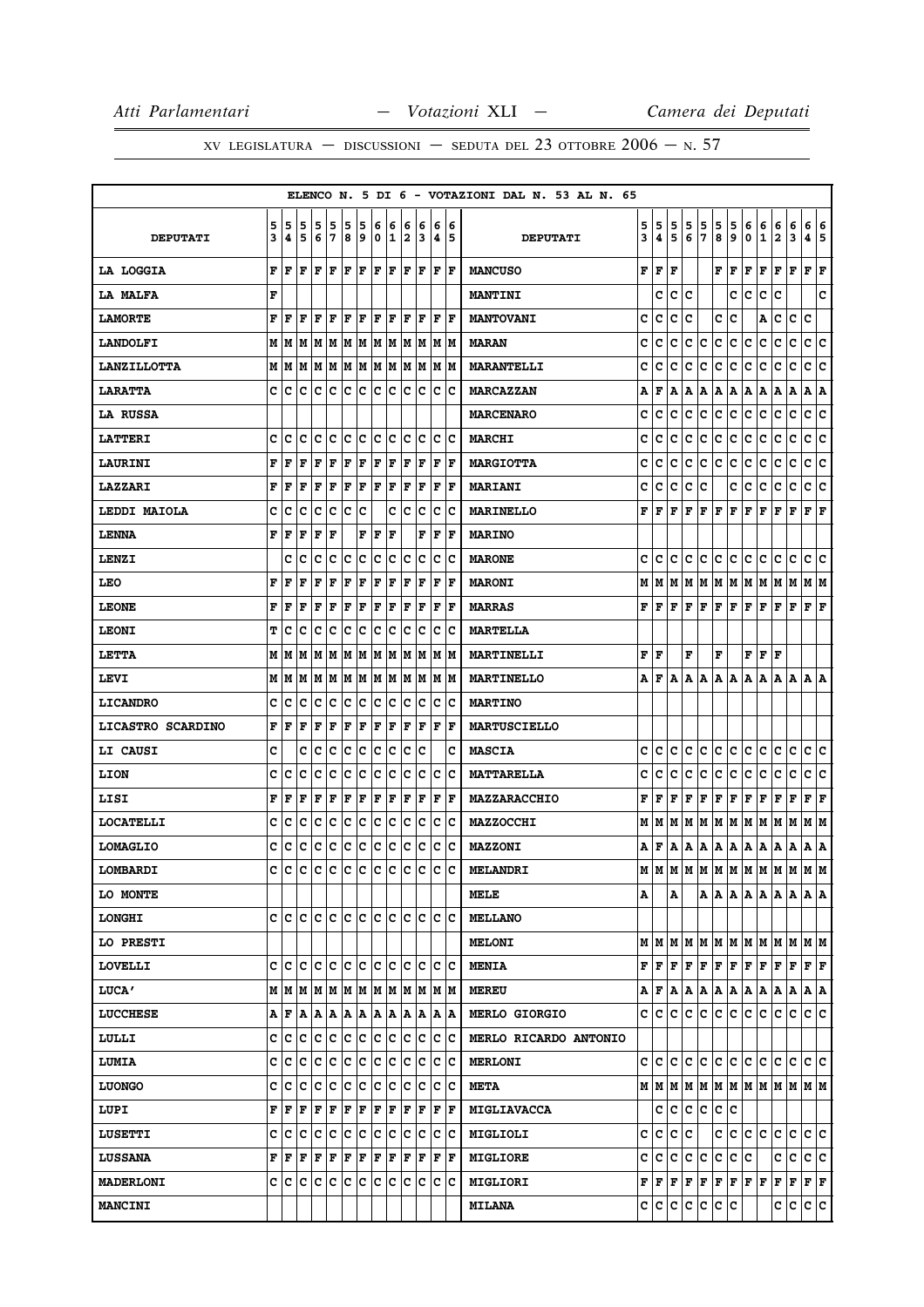|                    |        |        |                                                                            |                                                                 |                |                       |                                     |                      |                              |        |         |     |            | ELENCO N. 5 DI 6 - VOTAZIONI DAL N. 53 AL N. 65 |        |                                                        |        |              |        |        |                                |        |                               |                              |                                                                            |                        |    |
|--------------------|--------|--------|----------------------------------------------------------------------------|-----------------------------------------------------------------|----------------|-----------------------|-------------------------------------|----------------------|------------------------------|--------|---------|-----|------------|-------------------------------------------------|--------|--------------------------------------------------------|--------|--------------|--------|--------|--------------------------------|--------|-------------------------------|------------------------------|----------------------------------------------------------------------------|------------------------|----|
| <b>DEPUTATI</b>    | 5<br>3 | 5<br>4 | 5<br>5                                                                     | 5<br>6                                                          | 5<br>7         | 5<br>8                | 5<br>9                              | 6<br>0               | 6<br>11                      | 6<br>2 | 6<br>13 | 6   | 16<br> 4 5 | <b>DEPUTATI</b>                                 | 5<br>3 | 5<br>4                                                 | 5<br>5 | 5<br>6       | 5<br>7 | 5<br>8 | $\frac{5}{9}$                  | 6<br>0 | 6<br>$\mathbf{1}$             | 6<br>$\overline{\mathbf{2}}$ | 6<br>3                                                                     | 6<br>4 5               | 6  |
| <b>LA LOGGIA</b>   | F      | ١F     | F                                                                          | lF.                                                             | lF.            |                       | $\bf{F}$ $\bf{F}$ $\bf{F}$ $\bf{F}$ |                      |                              |        | F F F F |     |            | <b>MANCUSO</b>                                  | F      | F                                                      | F      |              |        | F      | F                              | F      | F                             |                              | $\bf{F} \left  \bf{F} \right. \left  \bf{F} \right. \left  \bf{F} \right.$ |                        |    |
| LA MALFA           | F      |        |                                                                            |                                                                 |                |                       |                                     |                      |                              |        |         |     |            | <b>MANTINI</b>                                  |        | c                                                      | c      | с            |        |        | c                              | c      | с                             | c                            |                                                                            |                        | c  |
| <b>LAMORTE</b>     | F      | F      | F                                                                          | F                                                               | F              | F                     | ΙF                                  | l F                  | ١F                           | ΙF     | ١F      | F   | ١F         | <b>MANTOVANI</b>                                | c      | c                                                      | c      | c            |        | с      | c                              |        | Α                             | с                            | c                                                                          | c                      |    |
| <b>LANDOLFI</b>    |        | M   M  |                                                                            | M  M  M  M  M  M  M  M  M  M  M                                 |                |                       |                                     |                      |                              |        |         |     |            | <b>MARAN</b>                                    | C      | c                                                      | с      | c            | с      | с      | с                              | с      | с                             | с                            | c                                                                          | c c                    |    |
| <b>LANZILLOTTA</b> |        | MИ     |                                                                            | $M$   $M$   $M$   $M$   $M$   $M$   $M$   $M$   $M$   $M$   $M$ |                |                       |                                     |                      |                              |        |         |     |            | <b>MARANTELLI</b>                               | c      | c                                                      | c      | c            | c      | с      | c                              | с      | с                             | с                            | c                                                                          | c                      | c  |
| <b>LARATTA</b>     | c      | c      | с                                                                          | iC.                                                             | $\overline{c}$ | lc.                   | $ {\bf c} $                         | c c                  |                              |        | c c     |     | c c        | <b>MARCAZZAN</b>                                | А      | F                                                      | А      | Α            | А      | Α      | Α                              | Α      | Α                             | Α                            | Α                                                                          | A                      | A  |
| <b>LA RUSSA</b>    |        |        |                                                                            |                                                                 |                |                       |                                     |                      |                              |        |         |     |            | <b>MARCENARO</b>                                | c      | C                                                      | c      | c            | с      | c      | c                              | c      | c                             | c                            | c                                                                          | c                      | ∣c |
| <b>LATTERI</b>     | c      | c      | c                                                                          | c                                                               | lc.            | $ {\bf c}\> {\bf c} $ |                                     | c c                  |                              |        | c c     |     | c c        | <b>MARCHI</b>                                   | c      | C                                                      | c      | c            | с      | c      | c                              | c      | c                             | c                            | $\mathbf{C}$                                                               | c                      | c  |
| <b>LAURINI</b>     | F      | F      | F                                                                          | F                                                               | F              | F                     | F                                   | F                    | F                            | F      | F       | F   | ١F         | <b>MARGIOTTA</b>                                | c      | c                                                      | с      | с            | с      | с      | c                              | с      | с                             | с                            | с                                                                          | с                      | Iс |
| <b>LAZZARI</b>     | F      | F      | F                                                                          | F                                                               | F              | F                     | F                                   | F                    | F                            | F      | F       | F   | ١F         | <b>MARIANI</b>                                  | c      | c                                                      | c      | c            | c      |        | с                              | c      | c                             | c                            | c                                                                          | c                      | c  |
| LEDDI MAIOLA       | c      | с      | с                                                                          | c                                                               | c              | c c                   |                                     |                      |                              |        | c c c   |     | c c        | <b>MARINELLO</b>                                | F      | F                                                      | F      | F            | F      | F      | F                              | F      | F                             | F                            | F                                                                          | ${\bf F}$ ${\bf F}$    |    |
| <b>LENNA</b>       | F      | F      | F                                                                          | F                                                               | F              |                       | F                                   | F                    | F                            |        | F       | F   | F          | <b>MARINO</b>                                   |        |                                                        |        |              |        |        |                                |        |                               |                              |                                                                            |                        |    |
| LENZI              |        | c      | c                                                                          | c                                                               | c              | c                     | ∣c                                  | c                    | c                            | c      | Ιc      | c   | ΙC         | <b>MARONE</b>                                   | c      | c                                                      | с      | c            | с      | с      | с                              | c      | с                             | с                            | с                                                                          | с                      | c  |
| LEO                | F      | F      | F                                                                          | F                                                               | $\mathbf F$    | F                     | F                                   | F                    | F                            | F      | lF      | F   | ١F         | <b>MARONI</b>                                   | M      | М                                                      | М      | М            | М      | М      | M                              | М      | M                             | M                            | M                                                                          | MM                     |    |
| <b>LEONE</b>       | F      | F      | F                                                                          | F                                                               | F              | F                     | F                                   | F                    | ŀF                           | F      | F       | F   | ΙF         | <b>MARRAS</b>                                   | F      | F                                                      | F      | F            | F      | F      | F                              | F      | F                             | F                            | F                                                                          | ${\bf F} \mid {\bf F}$ |    |
| <b>LEONI</b>       | т      | c      | c                                                                          | с                                                               | c              | c                     | c                                   | IC.                  | Iс                           | Ιc     | Ιc      | ΙC  | ΙC         | <b>MARTELLA</b>                                 |        |                                                        |        |              |        |        |                                |        |                               |                              |                                                                            |                        |    |
| <b>LETTA</b>       | М      | M      | м                                                                          | M                                                               |                |                       |                                     |                      | M  M  M  M  M  M  M  M  M    |        |         |     |            | MARTINELLI                                      | F      | F                                                      |        | F            |        | F      |                                | F      | F                             | F                            |                                                                            |                        |    |
| LEVI               |        | M   M  |                                                                            | M  M  M  M  M  M  M  M  M  M  M                                 |                |                       |                                     |                      |                              |        |         |     |            | <b>MARTINELLO</b>                               | А      | F                                                      | A      | А            | Α      |        | A   A                          | Α      | А                             | A                            | A   A   A                                                                  |                        |    |
| <b>LICANDRO</b>    | c      | c      | c                                                                          | с                                                               | c              | c                     | c                                   | c                    | ∣c                           | ∣c     | c       | Iс  | Ιc         | <b>MARTINO</b>                                  |        |                                                        |        |              |        |        |                                |        |                               |                              |                                                                            |                        |    |
| LICASTRO SCARDINO  | F      | F      | F                                                                          | F                                                               | F              | F                     | F                                   | $ {\bf F}  {\bf F} $ |                              | F      | ΙF      |     | F  F       | <b>MARTUSCIELLO</b>                             |        |                                                        |        |              |        |        |                                |        |                               |                              |                                                                            |                        |    |
| <b>LI CAUSI</b>    | c      |        | c                                                                          | c                                                               | c              | Ιc                    | c                                   | c c                  |                              | lc.    | lc      |     | c          | <b>MASCIA</b>                                   | c      | c                                                      | c      | c            | c      | с      | c                              | с      | c                             | с                            | c                                                                          | с                      | ∣c |
| <b>LION</b>        | c      | c      | c                                                                          | c                                                               | c              | c                     | c                                   | c c                  |                              | lc.    | Iс      | ΙC  | ΙC         | <b>MATTARELLA</b>                               | c      | C                                                      | c      | с            | с      | с      | c                              | c      | c                             | с                            | c                                                                          | c                      | c  |
| LISI               | F      | F      | F                                                                          | F                                                               | F              | F                     | F                                   | F F                  |                              | ΙF     | ١F      | F   | ١F         | MAZZARACCHIO                                    | F      | F                                                      | F      | F            | F      | F      | F                              | F      | Г                             | F                            | F                                                                          | ${\bf F} \mid {\bf F}$ |    |
| <b>LOCATELLI</b>   | c      | c      | c                                                                          | c                                                               | c              | c                     | c                                   | c c                  |                              | Iс     | Iс      | ΙC  | ΙC         | <b>MAZZOCCHI</b>                                | м      | M                                                      | м      | М            | M      | м      | M                              | M      | M                             | MM                           |                                                                            | M  M                   |    |
| <b>LOMAGLIO</b>    | c      | c      | с                                                                          | c                                                               | c              | c c                   |                                     |                      | c c c c c c c                |        |         |     |            | <b>MAZZONI</b>                                  | А      | F                                                      | А      | А            | А      | Α      | A                              | A      | A                             | Α                            | Α                                                                          | A   A                  |    |
| LOMBARDI           | c      | c      | c                                                                          | с                                                               | c              | c                     | c                                   | c                    | ∣c                           | c      | Iс      | lc. | lc         | <b>MELANDRI</b>                                 | м      | M                                                      | М      | M            |        |        |                                |        | M  M  M  M  M  M  M  M        |                              |                                                                            |                        |    |
| LO MONTE           |        |        |                                                                            |                                                                 |                |                       |                                     |                      |                              |        |         |     |            | MELE                                            | А      |                                                        | А      |              |        |        |                                |        | A   A   A   A   A   A   A   A |                              |                                                                            |                        |    |
| <b>LONGHI</b>      |        |        | e le le le le le le le le le le le le                                      |                                                                 |                |                       |                                     |                      |                              |        |         |     |            | <b>MELLANO</b>                                  |        |                                                        |        |              |        |        |                                |        |                               |                              |                                                                            |                        |    |
| LO PRESTI          |        |        |                                                                            |                                                                 |                |                       |                                     |                      |                              |        |         |     |            | <b>MELONI</b>                                   |        | MIM                                                    | м      | М            | М      | М      |                                |        | M  M  M  M  M  M  M           |                              |                                                                            |                        |    |
| <b>LOVELLI</b>     |        |        |                                                                            |                                                                 |                |                       |                                     |                      |                              |        |         |     |            | <b>MENIA</b>                                    | F      | F                                                      | F      | $\mathbf{F}$ | F      |        | F F                            | F F    |                               | $\bf{F}$ $\bf{F}$ $\bf$      |                                                                            | F F                    |    |
| <b>LUCA'</b>       |        |        |                                                                            |                                                                 |                |                       |                                     |                      |                              |        |         |     |            | <b>MEREU</b>                                    | А      | F                                                      | А      | А            | А      | Α      | Α                              | Α      | Α                             | Α                            | Α                                                                          | A   A                  |    |
| <b>LUCCHESE</b>    |        |        | $A \nmid F \mid A \mid A \mid A \mid A \mid A \mid A \mid A \mid A \mid A$ |                                                                 |                |                       |                                     |                      |                              |        |         |     |            | <b>MERLO GIORGIO</b>                            | c      | c                                                      | с      | с            | с      | с      | с                              | c      | с                             | с                            | с                                                                          | c c                    |    |
| LULLI              | c      | с      | c                                                                          | c                                                               | С              |                       |                                     |                      | c c c c c c c c c            |        |         |     |            | MERLO RICARDO ANTONIO                           |        |                                                        |        |              |        |        |                                |        |                               |                              |                                                                            |                        |    |
| <b>LUMIA</b>       | c      | c      |                                                                            | c  c  c  c  c  c  c  c  c  c  c  c                              |                |                       |                                     |                      |                              |        |         |     |            | <b>MERLONI</b>                                  | c      | c                                                      | c.     | c            | c      |        |                                |        | c  c  c  c  c  c  c  c        |                              |                                                                            |                        |    |
| <b>LUONGO</b>      | c      | с      | c                                                                          |                                                                 |                |                       |                                     |                      | c  c  c  c  c  c  c  c  c  c |        |         |     |            | <b>META</b>                                     |        | M   M                                                  |        |              |        |        |                                |        |                               |                              |                                                                            |                        |    |
| LUPI               |        | FF     | F                                                                          | F                                                               | ΙF             |                       |                                     |                      | F F F F F F F F F            |        |         |     |            | MIGLIAVACCA                                     |        | c                                                      | c      | c            | c      | c      | c                              |        |                               |                              |                                                                            |                        |    |
| <b>LUSETTI</b>     | c      | c      |                                                                            | c c c c c c c c c c c c c                                       |                |                       |                                     |                      |                              |        |         |     |            | <b>MIGLIOLI</b>                                 | с      | с                                                      | с      | c            |        | c      | c                              | c      | c.                            | с                            | c                                                                          | c c                    |    |
| <b>LUSSANA</b>     |        | FF     | F                                                                          | F F F F F F F F F F F                                           |                |                       |                                     |                      |                              |        |         |     |            | <b>MIGLIORE</b>                                 | c      | с                                                      | с      | с            | с      | c      | c                              | c      |                               | c                            | c                                                                          | c c                    |    |
| <b>MADERLONI</b>   |        |        |                                                                            |                                                                 |                |                       |                                     |                      |                              |        |         |     |            | <b>MIGLIORI</b>                                 |        | $\mathbf{F} \parallel \mathbf{F} \parallel \mathbf{F}$ |        | F            | F      |        | ${\bf F} \,   \, {\bf F} \,  $ | F F    |                               |                              | $ {\bf F}  {\bf F}  {\bf F}  {\bf F}$                                      |                        |    |
| <b>MANCINI</b>     |        |        |                                                                            |                                                                 |                |                       |                                     |                      |                              |        |         |     |            | <b>MILANA</b>                                   |        | c c                                                    | c      | c            | c      | c      | c                              |        |                               | c                            | c                                                                          | c c                    |    |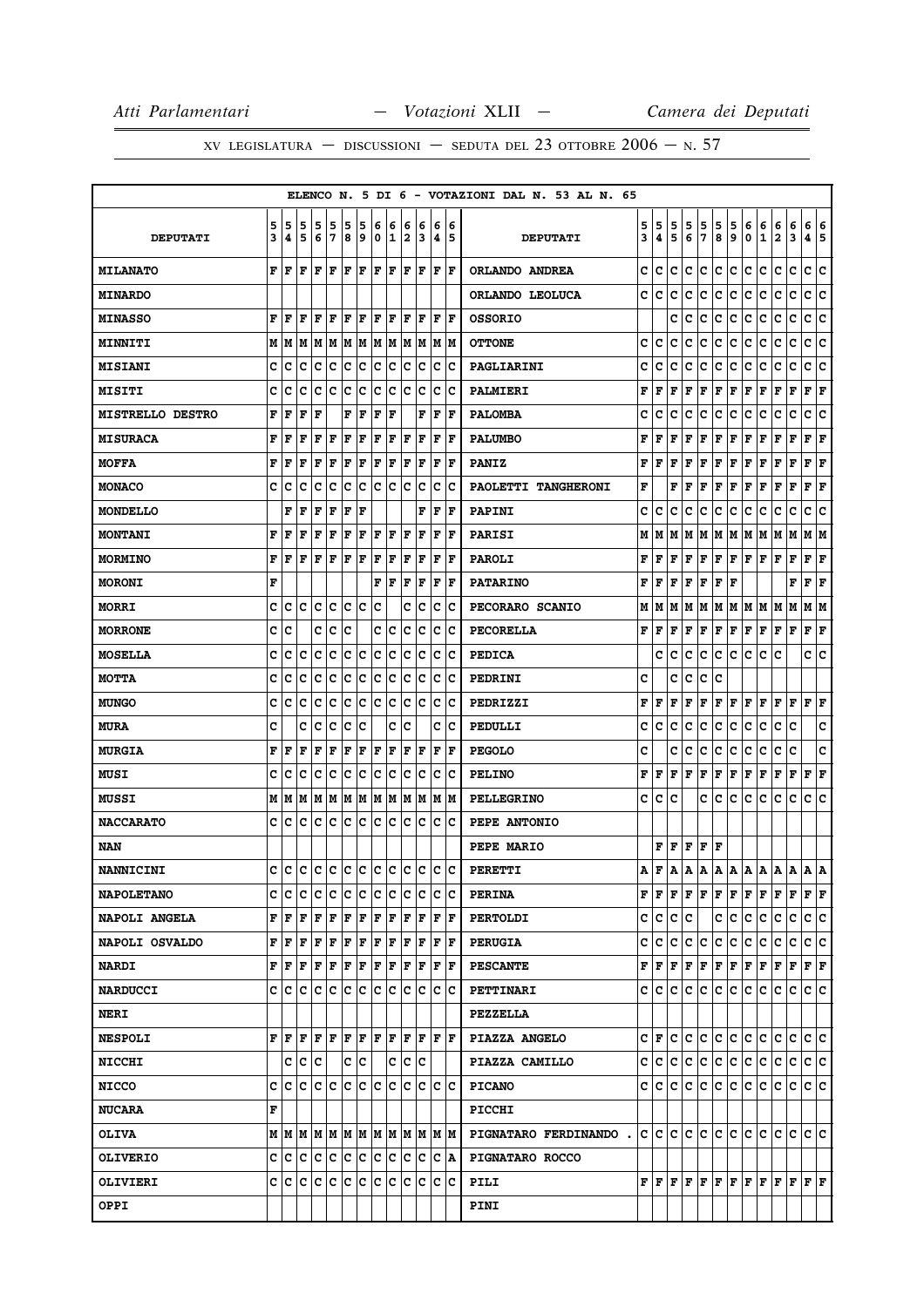|                         |        |           |        |                            |        |        |        |                  |        |        |        |             |          | ELENCO N. 5 DI 6 - VOTAZIONI DAL N. 53 AL N. 65 |        |         |        |        |                                                                                                             |                      |        |                      |                               |                                                                                                                                      |                                                                                                                                                                                                                                                                                                                                                                                              |                        |             |
|-------------------------|--------|-----------|--------|----------------------------|--------|--------|--------|------------------|--------|--------|--------|-------------|----------|-------------------------------------------------|--------|---------|--------|--------|-------------------------------------------------------------------------------------------------------------|----------------------|--------|----------------------|-------------------------------|--------------------------------------------------------------------------------------------------------------------------------------|----------------------------------------------------------------------------------------------------------------------------------------------------------------------------------------------------------------------------------------------------------------------------------------------------------------------------------------------------------------------------------------------|------------------------|-------------|
| <b>DEPUTATI</b>         | 5<br>3 | 5<br>4    | 5<br>5 | 5<br>6                     | 5<br>7 | 5<br>8 | 5<br>9 | 6<br>$\mathbf 0$ | 6<br>1 | 6<br>2 | 6<br>3 | 6<br>4      | 16<br>15 | <b>DEPUTATI</b>                                 | 5<br>3 | 5<br>4  | 5<br>5 | 5<br>6 | 5<br>7                                                                                                      | 5<br>8               | 5<br>9 | 6<br>0               | 6<br>$\mathbf{1}$             | 6<br>2                                                                                                                               | 6<br>3                                                                                                                                                                                                                                                                                                                                                                                       | 6<br>4                 | 6<br>5      |
| <b>MILANATO</b>         | F      | l F       | l F    | F                          | l F    | F      | l F    | F                | F      | lF.    | F      | F           | F        | ORLANDO ANDREA                                  | c      | c       | c      | c      | c                                                                                                           | c                    | lc.    | c                    | c                             | c                                                                                                                                    | c                                                                                                                                                                                                                                                                                                                                                                                            | c                      | ١c          |
| <b>MINARDO</b>          |        |           |        |                            |        |        |        |                  |        |        |        |             |          | ORLANDO LEOLUCA                                 | c      | c       | c      | c      | с                                                                                                           | с                    | Iс     | с                    | с                             | с                                                                                                                                    | c                                                                                                                                                                                                                                                                                                                                                                                            | c                      | c           |
| <b>MINASSO</b>          | F      | F         | F      | F                          | F      | F      | F      | ΙF               | F      | ΙF     | F      | F           | lF.      | <b>OSSORIO</b>                                  |        |         | c      | c      | c                                                                                                           | c                    | Ιc     | c                    | c                             | с                                                                                                                                    | c                                                                                                                                                                                                                                                                                                                                                                                            | c                      | c           |
| <b>MINNITI</b>          |        | M   M     | M      | MM                         |        |        | M M    |                  | M M    |        | M M    |             | M M      | <b>OTTONE</b>                                   | c      | Iс      | c      | c      | с                                                                                                           | с                    | c      | с                    | с                             | с                                                                                                                                    | c                                                                                                                                                                                                                                                                                                                                                                                            | c                      | ١c          |
| <b>MISIANI</b>          | c      | c         | c      | c                          | c      | c      | с      | c                | с      | c      | Ιc     | c           | Iс       | PAGLIARINI                                      | c      | c       | c      | с      | c                                                                                                           | с                    | Iс     | c                    | c                             | c                                                                                                                                    | c                                                                                                                                                                                                                                                                                                                                                                                            | с                      | c           |
| <b>MISITI</b>           | c      | c         | c      | c                          | с      | c      | c      | c                | c      | c      | c      | с           | Ιc       | <b>PALMIERI</b>                                 | F      | l F     | F      | F      | F                                                                                                           | F                    | F      | F                    | F                             | F                                                                                                                                    | $\mathbf F$                                                                                                                                                                                                                                                                                                                                                                                  | F                      | F           |
| <b>MISTRELLO DESTRO</b> | F      | F         | F      | F                          |        | F      | F      | l F              | F      |        | F      | F           | l F      | <b>PALOMBA</b>                                  | c      | c       | c      | c      | с                                                                                                           | с                    | c      | c                    | c                             | c                                                                                                                                    | c                                                                                                                                                                                                                                                                                                                                                                                            | с                      | c           |
| <b>MISURACA</b>         | F      | F         | F      | F                          | F      | ΙF     | F      | l F              | F      | l F    | F      | F           | l F      | <b>PALUMBO</b>                                  | F      | l F     | F      | F      | F                                                                                                           | F                    | F      | F                    | F                             | F                                                                                                                                    | $\mathbf F$                                                                                                                                                                                                                                                                                                                                                                                  | F                      | F           |
| <b>MOFFA</b>            | F      | F         | F      | F                          | F      | F      | F      | F                | F      | F      | F      | F           | l F      | <b>PANIZ</b>                                    | F      | l F     | F      | F      | F                                                                                                           | F                    | F      | F                    | F                             | F                                                                                                                                    | F                                                                                                                                                                                                                                                                                                                                                                                            | F                      | F           |
| <b>MONACO</b>           | c      | c         | c      | c                          | c      | c      | c      | c                | c      | lc.    | Ιc     | c           | Ιc       | PAOLETTI TANGHERONI                             | F      |         | F      | l F    | F                                                                                                           | F                    | F      | F                    | F                             | F                                                                                                                                    | F                                                                                                                                                                                                                                                                                                                                                                                            | F                      | F           |
| <b>MONDELLO</b>         |        | F         | F      | F                          | F      | F      | F      |                  |        |        | F      | F           | F        | <b>PAPINI</b>                                   | c      | IС      | c      | C      | с                                                                                                           | с                    | IС     | с                    | с                             | с                                                                                                                                    | c                                                                                                                                                                                                                                                                                                                                                                                            | c                      | c           |
| <b>MONTANI</b>          | F      | F         | F      | F                          | F      | F      | F      | F                | F      | F      | F      | F           | l F      | <b>PARISI</b>                                   | м      | IМ      | M      | lМ     | M                                                                                                           | M  M                 |        | M                    | M                             | M                                                                                                                                    | M                                                                                                                                                                                                                                                                                                                                                                                            | M                      | lМ          |
| <b>MORMINO</b>          | F      | l F       | l F    | F                          | F      | F      | F      | F                | F      | F      | F      | F           | l F      | <b>PAROLI</b>                                   | F      | F       | F      | F      | F                                                                                                           | $ {\bf F}  {\bf F} $ |        | F F                  |                               | F                                                                                                                                    | F                                                                                                                                                                                                                                                                                                                                                                                            | F                      | F           |
| <b>MORONI</b>           | F      |           |        |                            |        |        |        | F                | F      | l F    | F      | $\mathbf F$ | F        | <b>PATARINO</b>                                 | F      | l F     | F      | l F    | F                                                                                                           | F                    | F      |                      |                               |                                                                                                                                      | F                                                                                                                                                                                                                                                                                                                                                                                            | F                      | $\mathbf F$ |
| <b>MORRI</b>            | c      | c         | с      | c                          | Ιc     | c      | ١c     | c                |        | c      | Iс     | c           | ١c       | PECORARO SCANIO                                 | м      | IМ      |        |        |                                                                                                             |                      |        |                      | M   M   M   M   M   M   M   M |                                                                                                                                      | M                                                                                                                                                                                                                                                                                                                                                                                            | MM                     |             |
| <b>MORRONE</b>          | c      | C         |        | с                          | c      | Ιc     |        | c                | c      | с      | Iс     | c           | Ιc       | <b>PECORELLA</b>                                | F      | l F     | F      | F      | F                                                                                                           | $ {\bf F}  {\bf F} $ |        | $ {\bf F}  {\bf F} $ |                               | F                                                                                                                                    | F                                                                                                                                                                                                                                                                                                                                                                                            | ${\bf F} \mid {\bf F}$ |             |
| <b>MOSELLA</b>          | c      | c         | c      | с                          | c      | с      | c      | c                | c      | c      | Ιc     | $\mathbf C$ | Ιc       | <b>PEDICA</b>                                   |        | c       | c      | c      | с                                                                                                           | c                    | lc.    | с                    | c                             | c                                                                                                                                    |                                                                                                                                                                                                                                                                                                                                                                                              | c                      | c           |
| МОТТА                   | c      | c         | c      | c                          | c      | c      | c      | c                | c      | c      | Iс     | c           | Ιc       | <b>PEDRINI</b>                                  | c      |         | c      | c      | с                                                                                                           | c                    |        |                      |                               |                                                                                                                                      |                                                                                                                                                                                                                                                                                                                                                                                              |                        |             |
| <b>MUNGO</b>            | c      | c         | c      | c                          | c      | c      | c      | c                | c      | c      | Ιc     | c           | Iс       | PEDRIZZI                                        | F      | l F     | F      | F      | F                                                                                                           | F                    | F      | F                    | l F                           | F                                                                                                                                    | F                                                                                                                                                                                                                                                                                                                                                                                            | F                      | F           |
| <b>MURA</b>             | c      |           | c      | c                          | c      | c      | C      |                  | c      | c      |        | c           | c        | PEDULLI                                         | c      | с       | с      | с      | с                                                                                                           | с                    | c      | с                    | с                             | с                                                                                                                                    | c                                                                                                                                                                                                                                                                                                                                                                                            |                        | c           |
| <b>MURGIA</b>           | F      | F         | l F    | F                          | F      | F      | F      | F                | F      | F      | F      | F           | F        | <b>PEGOLO</b>                                   | c      |         | c      | c      | c                                                                                                           | с                    | c      | с                    | c                             | c                                                                                                                                    | C                                                                                                                                                                                                                                                                                                                                                                                            |                        | c           |
| MUSI                    | c      | c         | c      | с                          | c      | c      | c      | c                | Ιc     | c      | Iс     | c           | ΙC       | <b>PELINO</b>                                   | F      | F       | F      | F      | F                                                                                                           | F                    | F      | F                    | F                             | F                                                                                                                                    | F                                                                                                                                                                                                                                                                                                                                                                                            | F                      | F           |
| MUSSI                   |        | MM        | lм     | M M                        |        |        | M M    | M M              |        |        | M M    | M M         |          | <b>PELLEGRINO</b>                               | c      | lc.     | Iс     |        | с                                                                                                           | c                    | lc.    | c                    | lc.                           | c                                                                                                                                    | c                                                                                                                                                                                                                                                                                                                                                                                            | c c                    |             |
| <b>NACCARATO</b>        | c      | ١c        | c      | Iс                         | c      | Ιc     | c      | Ιc               | Iс     | lc.    | lc.    | c           | ΙC       | PEPE ANTONIO                                    |        |         |        |        |                                                                                                             |                      |        |                      |                               |                                                                                                                                      |                                                                                                                                                                                                                                                                                                                                                                                              |                        |             |
| NAN                     |        |           |        |                            |        |        |        |                  |        |        |        |             |          | <b>PEPE MARIO</b>                               |        |         |        |        | F F F F F                                                                                                   |                      |        |                      |                               |                                                                                                                                      |                                                                                                                                                                                                                                                                                                                                                                                              |                        |             |
| <b>NANNICINI</b>        | c      | lc.       |        | le le le le le le le le le |        |        |        |                  |        |        |        | lc.         | lc.      | <b>PERETTI</b>                                  | A      | F       | ۱A.    | ۱A.    | ۱A.                                                                                                         | A                    | A      | A                    | ۱A.                           | ۱A.                                                                                                                                  | A                                                                                                                                                                                                                                                                                                                                                                                            | lA.                    | ١A          |
| <b>NAPOLETANO</b>       | с      | Ιc        | lc     | c                          | c      | c      | c      | c                | c      | c      | c      | c           | Ιc       | <b>PERINA</b>                                   |        |         |        |        | ${\bf F}\, \,{\bf F}\, \,{\bf F}\, \,{\bf F}\, \,{\bf F}\, \,{\bf F}\, \,{\bf F}\, \,{\bf F}\, \,{\bf F}\,$ |                      |        |                      |                               | lF.                                                                                                                                  | F                                                                                                                                                                                                                                                                                                                                                                                            | $ {\bf F}  {\bf F} $   |             |
| <b>NAPOLI ANGELA</b>    |        | FF        | l F    | lF.                        | F      | F      | F      | F                | F      | ١F     | ١F     | F           | F        | <b>PERTOLDI</b>                                 |        | c c c c |        |        |                                                                                                             |                      | c c    | ∣c∶                  | lc.                           | с                                                                                                                                    | c                                                                                                                                                                                                                                                                                                                                                                                            | c c                    |             |
| <b>NAPOLI OSVALDO</b>   | F      | F         | l F    | F                          | F      | F      | F      | F                | F      | F      | F      | F           | ١F       | <b>PERUGIA</b>                                  |        | c c     | lC.    | IC.    | С                                                                                                           | c                    | lc.    | lc.                  | lc.                           | c                                                                                                                                    | с                                                                                                                                                                                                                                                                                                                                                                                            | c c                    |             |
| <b>NARDI</b>            |        | FF        | F      | l F                        | F      | F      | ΙF     | F                | F      | F      | F      | F           | ١F       | <b>PESCANTE</b>                                 |        |         |        |        |                                                                                                             |                      |        |                      |                               | ${\bf F}\, \,{\bf F}\, \,{\bf F}\, \,{\bf F}\, \,{\bf F}\, \,{\bf F}\, \,{\bf F}\, \,{\bf F}\, \,{\bf F}\, \,{\bf F}\, \,{\bf F}\, $ |                                                                                                                                                                                                                                                                                                                                                                                              | F F                    |             |
| <b>NARDUCCI</b>         |        | c Ic      | ١c     | lc.                        | lc.    | lc.    | IC.    | lc.              | lc.    | lc.    | ١c     | Iс          | ΙC       | <b>PETTINARI</b>                                |        | c Ic    |        | c c    | c c c c c                                                                                                   |                      |        |                      |                               | lc.                                                                                                                                  | С                                                                                                                                                                                                                                                                                                                                                                                            | lc Ic                  |             |
| <b>NERI</b>             |        |           |        |                            |        |        |        |                  |        |        |        |             |          | <b>PEZZELLA</b>                                 |        |         |        |        |                                                                                                             |                      |        |                      |                               |                                                                                                                                      |                                                                                                                                                                                                                                                                                                                                                                                              |                        |             |
| <b>NESPOLI</b>          | F      | l F       | l F    | F                          | F      | F      | ١F     | F  F             |        | lF.    | ١F     | F  F        |          | PIAZZA ANGELO                                   |        | C F     | IC.    | IC.    | lC.                                                                                                         | c c c c              |        |                      |                               | с                                                                                                                                    | с                                                                                                                                                                                                                                                                                                                                                                                            | c c                    |             |
| <b>NICCHI</b>           |        | c c       |        | ∣c                         |        |        | c c    |                  | C      |        | c c    |             |          | PIAZZA CAMILLO                                  |        |         |        |        | c c c c c c c c c c                                                                                         |                      |        |                      |                               | lc.                                                                                                                                  | lc.                                                                                                                                                                                                                                                                                                                                                                                          | c c                    |             |
| <b>NICCO</b>            |        | c Ic      | Ιc     | c c                        |        |        | c c c  |                  | Iс     | lc.    | lc     | lc.         | ΙC       | <b>PICANO</b>                                   |        |         |        |        | c c c c c c c c c c                                                                                         |                      |        |                      |                               | с                                                                                                                                    | lc.                                                                                                                                                                                                                                                                                                                                                                                          | c c                    |             |
| <b>NUCARA</b>           | F      |           |        |                            |        |        |        |                  |        |        |        |             |          | <b>PICCHI</b>                                   |        |         |        |        |                                                                                                             |                      |        |                      |                               |                                                                                                                                      |                                                                                                                                                                                                                                                                                                                                                                                              |                        |             |
| <b>OLIVA</b>            |        |           |        |                            |        |        |        |                  |        |        |        |             |          | PIGNATARO FERDINANDO.                           |        |         |        |        |                                                                                                             |                      |        |                      |                               |                                                                                                                                      |                                                                                                                                                                                                                                                                                                                                                                                              |                        |             |
| <b>OLIVERIO</b>         |        | c Ic      | lc.    | c c                        |        |        | c c    | c c              |        |        | c c    |             | C  A     | PIGNATARO ROCCO                                 |        |         |        |        |                                                                                                             |                      |        |                      |                               |                                                                                                                                      |                                                                                                                                                                                                                                                                                                                                                                                              |                        |             |
| <b>OLIVIERI</b>         |        | C C C C C |        |                            |        |        | c c    | c c              |        | IC.    | Ιc     |             | c c      | PILI                                            |        |         |        |        |                                                                                                             |                      |        |                      |                               |                                                                                                                                      | ${\bf F}\, \,{\bf F}\, \,{\bf F}\, \,{\bf F}\, \,{\bf F}\, \,{\bf F}\, \,{\bf F}\, \,{\bf F}\, \,{\bf F}\, \,{\bf F}\, \,{\bf F}\, \,{\bf F}\, \,{\bf F}\, \,{\bf F}\, \,{\bf F}\, \,{\bf F}\, \,{\bf F}\, \,{\bf F}\, \,{\bf F}\, \,{\bf F}\, \,{\bf F}\, \,{\bf F}\, \,{\bf F}\, \,{\bf F}\, \,{\bf F}\, \,{\bf F}\, \,{\bf F}\, \,{\bf F}\, \,{\bf F}\, \,{\bf F}\, \,{\bf F}\, \,{\bf F$ |                        |             |
| <b>OPPI</b>             |        |           |        |                            |        |        |        |                  |        |        |        |             |          | <b>PINI</b>                                     |        |         |        |        |                                                                                                             |                      |        |                      |                               |                                                                                                                                      |                                                                                                                                                                                                                                                                                                                                                                                              |                        |             |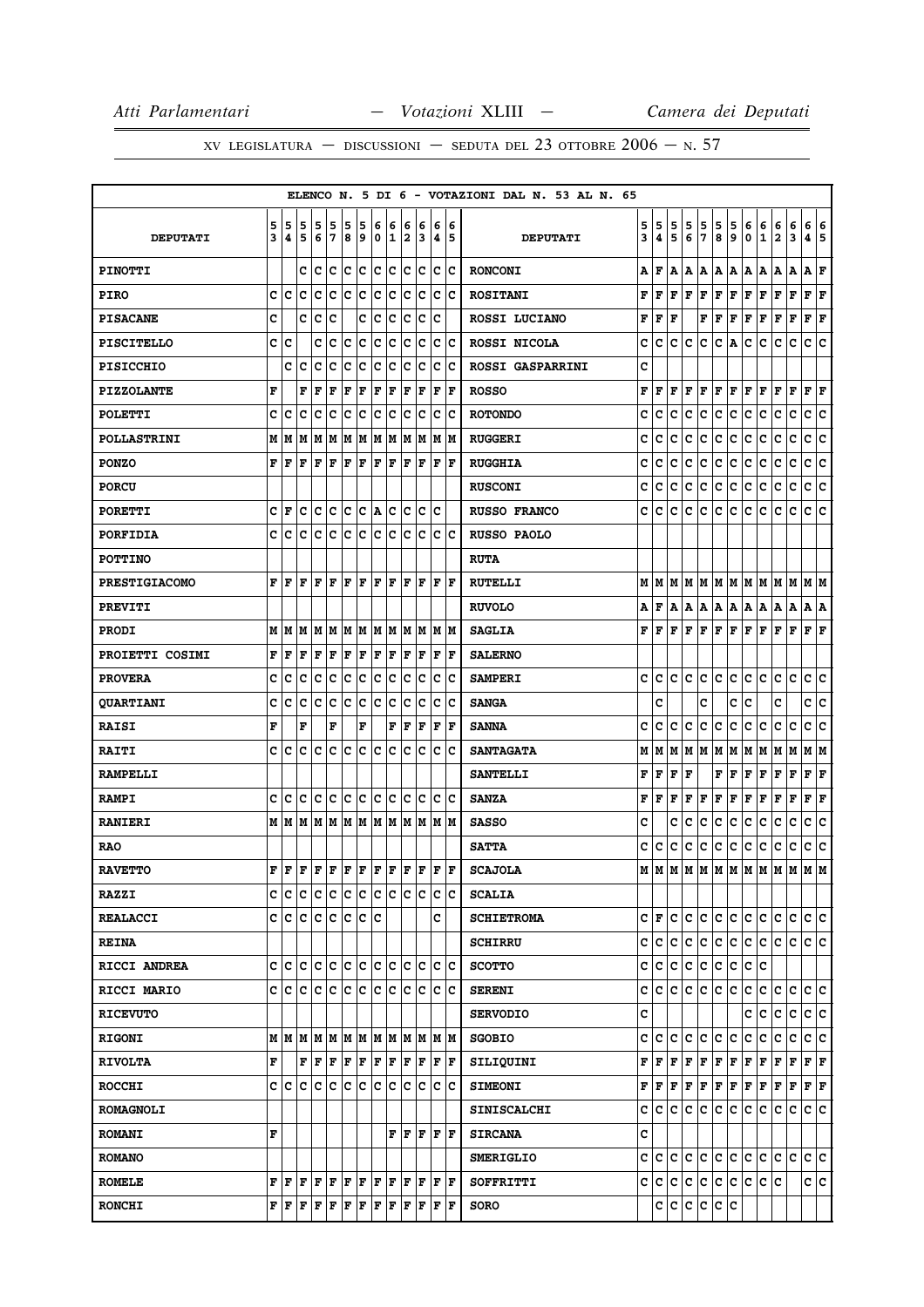|                      |        |        |                                                                                                                                                                                                                                                                                                                                                                                                                                                                                            |            |             |        |                 |                  |        |        |        |                                           |         | ELENCO N. 5 DI 6 - VOTAZIONI DAL N. 53 AL N. 65 |        |            |        |        |                   |                      |                                                                                                                                                                                                                                                                                                                                                                                                                                                                                            |        |                         |                                                                                                                                                                                                               |             |                        |     |
|----------------------|--------|--------|--------------------------------------------------------------------------------------------------------------------------------------------------------------------------------------------------------------------------------------------------------------------------------------------------------------------------------------------------------------------------------------------------------------------------------------------------------------------------------------------|------------|-------------|--------|-----------------|------------------|--------|--------|--------|-------------------------------------------|---------|-------------------------------------------------|--------|------------|--------|--------|-------------------|----------------------|--------------------------------------------------------------------------------------------------------------------------------------------------------------------------------------------------------------------------------------------------------------------------------------------------------------------------------------------------------------------------------------------------------------------------------------------------------------------------------------------|--------|-------------------------|---------------------------------------------------------------------------------------------------------------------------------------------------------------------------------------------------------------|-------------|------------------------|-----|
| <b>DEPUTATI</b>      | 5<br>3 | 5<br>4 | 5<br>5                                                                                                                                                                                                                                                                                                                                                                                                                                                                                     | 5<br>6     | 5<br>7      | 5<br>8 | 5<br>9          | 6<br>$\mathbf 0$ | 6<br>1 | 6<br>2 | 6<br>3 | 6<br>4                                    | 6<br>15 | <b>DEPUTATI</b>                                 | 5<br>3 | 5<br>4     | 5<br>5 | 5<br>6 | 5<br>7            | 5<br>8               | 5<br>9                                                                                                                                                                                                                                                                                                                                                                                                                                                                                     | 6<br>0 | 6<br>$\mathbf 1$        | 6<br>$\overline{\mathbf{2}}$                                                                                                                                                                                  | 6<br>3      | 6<br>4 5               | 6   |
| <b>PINOTTI</b>       |        |        | C                                                                                                                                                                                                                                                                                                                                                                                                                                                                                          | c          | lc.         | lc.    | lc.             | lc.              | c      | c      | c      |                                           | lc lc   | <b>RONCONI</b>                                  | А      | lF.        |        |        | A   A   A   A   A |                      |                                                                                                                                                                                                                                                                                                                                                                                                                                                                                            | A   A  |                         | A                                                                                                                                                                                                             | A           | A                      | F   |
| <b>PIRO</b>          | C      | Iс     | lc                                                                                                                                                                                                                                                                                                                                                                                                                                                                                         | c          | c           | Ιc     | c               | c                | c      | c      | c      | c                                         | lc      | <b>ROSITANI</b>                                 | F      | F          | F      | F      | F                 | $\mathbf F$          | F                                                                                                                                                                                                                                                                                                                                                                                                                                                                                          | F      | F                       | F                                                                                                                                                                                                             | $\mathbf F$ | F F                    |     |
| <b>PISACANE</b>      | C      |        | c                                                                                                                                                                                                                                                                                                                                                                                                                                                                                          | Iс         | c           |        | c               | Ιc               | Ιc     | lc.    | Iс     | c                                         |         | ROSSI LUCIANO                                   | F      | l F        | F      |        | F                 | F                    | F                                                                                                                                                                                                                                                                                                                                                                                                                                                                                          | F      | F                       | F                                                                                                                                                                                                             | F           | F                      | ΙF  |
| <b>PISCITELLO</b>    |        | c c    |                                                                                                                                                                                                                                                                                                                                                                                                                                                                                            | c          | lc.         | lc.    | c               | lc.              | c      | c      | c      |                                           | c c     | ROSSI NICOLA                                    | c      | c          | C      | lc.    | c                 | C A                  |                                                                                                                                                                                                                                                                                                                                                                                                                                                                                            | c      | c                       | с                                                                                                                                                                                                             | c           | c                      | lc. |
| <b>PISICCHIO</b>     |        | c      | c                                                                                                                                                                                                                                                                                                                                                                                                                                                                                          | c          | c           | c      | c               | c                | c      | c      | Ιc     | c                                         | Ιc      | ROSSI GASPARRINI                                | c      |            |        |        |                   |                      |                                                                                                                                                                                                                                                                                                                                                                                                                                                                                            |        |                         |                                                                                                                                                                                                               |             |                        |     |
| <b>PIZZOLANTE</b>    | F      |        | F                                                                                                                                                                                                                                                                                                                                                                                                                                                                                          | F          | F           | F      | F               | F                | F      | F      | F      | $\mathbf F$                               | ١F      | <b>ROSSO</b>                                    | F      | lF.        | lF.    | lF.    | F                 | F F                  |                                                                                                                                                                                                                                                                                                                                                                                                                                                                                            | F F    |                         | F                                                                                                                                                                                                             | F           | $\bf{F}$ $\bf{F}$      |     |
| <b>POLETTI</b>       | c      | c      | C                                                                                                                                                                                                                                                                                                                                                                                                                                                                                          | c          | C           | c      | c               | C                | c      | c      | c      | C                                         | c       | <b>ROTONDO</b>                                  | c      | c          | c      | c      | c                 | c                    | c                                                                                                                                                                                                                                                                                                                                                                                                                                                                                          | c      | c                       | c                                                                                                                                                                                                             | c           | c                      | c   |
| <b>POLLASTRINI</b>   |        | M M    | lМ                                                                                                                                                                                                                                                                                                                                                                                                                                                                                         | M          | M           | M      | M               | M                | M      | lм     | M      |                                           | M M     | <b>RUGGERI</b>                                  | c      | c          | c      | c      | c                 | $\mathbf c$          | c                                                                                                                                                                                                                                                                                                                                                                                                                                                                                          | c      | c                       | c                                                                                                                                                                                                             | c           | c                      | c   |
| <b>PONZO</b>         | F      | l F    | ΙF                                                                                                                                                                                                                                                                                                                                                                                                                                                                                         | F          | F           | F      | F               | F                | F      | lF.    | F      | l F                                       | lF.     | <b>RUGGHIA</b>                                  | c      | c          | с      | Iс     | c                 | c.                   | c                                                                                                                                                                                                                                                                                                                                                                                                                                                                                          | c      | c                       | c                                                                                                                                                                                                             | c           | c                      | ∣c  |
| <b>PORCU</b>         |        |        |                                                                                                                                                                                                                                                                                                                                                                                                                                                                                            |            |             |        |                 |                  |        |        |        |                                           |         | <b>RUSCONI</b>                                  | c      | c          | c      | c      | lc.               | c                    | c                                                                                                                                                                                                                                                                                                                                                                                                                                                                                          | c      | c                       | c                                                                                                                                                                                                             | c           | c                      | c   |
| <b>PORETTI</b>       |        | CF     | c                                                                                                                                                                                                                                                                                                                                                                                                                                                                                          | c c        |             |        | $ c c $ a $ c $ |                  |        | lc.    | Iс     | lc.                                       |         | <b>RUSSO FRANCO</b>                             | c      | lc.        | c      | c      | c                 | c                    | c                                                                                                                                                                                                                                                                                                                                                                                                                                                                                          | c      | c                       | с                                                                                                                                                                                                             | C           | c                      | ١c  |
| <b>PORFIDIA</b>      | C      | c      | c                                                                                                                                                                                                                                                                                                                                                                                                                                                                                          | c          | c           | Ιc     | c               | c                | c      | с      | Ιc     | с                                         | Ιc      | RUSSO PAOLO                                     |        |            |        |        |                   |                      |                                                                                                                                                                                                                                                                                                                                                                                                                                                                                            |        |                         |                                                                                                                                                                                                               |             |                        |     |
| <b>POTTINO</b>       |        |        |                                                                                                                                                                                                                                                                                                                                                                                                                                                                                            |            |             |        |                 |                  |        |        |        |                                           |         | <b>RUTA</b>                                     |        |            |        |        |                   |                      |                                                                                                                                                                                                                                                                                                                                                                                                                                                                                            |        |                         |                                                                                                                                                                                                               |             |                        |     |
| <b>PRESTIGIACOMO</b> | F      | F      | F                                                                                                                                                                                                                                                                                                                                                                                                                                                                                          | F          | l F         | l F    | l F             | F                | F      | F      | F      | l F                                       | lF.     | <b>RUTELLI</b>                                  |        |            |        |        |                   |                      |                                                                                                                                                                                                                                                                                                                                                                                                                                                                                            |        |                         |                                                                                                                                                                                                               |             |                        |     |
| <b>PREVITI</b>       |        |        |                                                                                                                                                                                                                                                                                                                                                                                                                                                                                            |            |             |        |                 |                  |        |        |        |                                           |         | <b>RUVOLO</b>                                   | А      | lF.        |        |        |                   |                      | A  A  A  A  A  A  A                                                                                                                                                                                                                                                                                                                                                                                                                                                                        |        |                         | A                                                                                                                                                                                                             | A           | A   A                  |     |
| <b>PRODI</b>         |        | MM     | lм                                                                                                                                                                                                                                                                                                                                                                                                                                                                                         | M          | lм          |        | M M             |                  | M M    |        | M M    |                                           | M M     | <b>SAGLIA</b>                                   | F      | ١F         |        | F F F  |                   | F F                  |                                                                                                                                                                                                                                                                                                                                                                                                                                                                                            | F F    |                         | F                                                                                                                                                                                                             | l F         | F F                    |     |
| PROIETTI COSIMI      | F      | F      | F                                                                                                                                                                                                                                                                                                                                                                                                                                                                                          | F          | $\mathbf F$ | F      | $\mathbf F$     | F                | F      | l F    | F      | F                                         | lF.     | <b>SALERNO</b>                                  |        |            |        |        |                   |                      |                                                                                                                                                                                                                                                                                                                                                                                                                                                                                            |        |                         |                                                                                                                                                                                                               |             |                        |     |
| <b>PROVERA</b>       | c      | c      | c                                                                                                                                                                                                                                                                                                                                                                                                                                                                                          | Iс         | c           | c      | c               | c                | c      | lc.    | Iс     | c                                         | Ιc      | <b>SAMPERI</b>                                  |        | c ic ic    |        | lc.    | lc.               | c c                  |                                                                                                                                                                                                                                                                                                                                                                                                                                                                                            | c c    |                         | c.                                                                                                                                                                                                            | lc.         | c c                    |     |
| <b>QUARTIANI</b>     | c      | c      | c                                                                                                                                                                                                                                                                                                                                                                                                                                                                                          | c          | c           | c      | c               | c                | c      | c      | c      | c                                         | Iс      | <b>SANGA</b>                                    |        | c          |        |        | c                 |                      | с                                                                                                                                                                                                                                                                                                                                                                                                                                                                                          | c      |                         | c                                                                                                                                                                                                             |             | c                      | c   |
| <b>RAISI</b>         | F      |        | F                                                                                                                                                                                                                                                                                                                                                                                                                                                                                          |            | F           |        | F               |                  | F      | F      | F      | F                                         | F       | <b>SANNA</b>                                    | c      | c          | c      | lc.    | c.                | c.                   | lc.                                                                                                                                                                                                                                                                                                                                                                                                                                                                                        | c      | c                       | c                                                                                                                                                                                                             | c           | c                      | c   |
| <b>RAITI</b>         | C      | C      | C                                                                                                                                                                                                                                                                                                                                                                                                                                                                                          | c          | C           | lc.    | c               | lc               | lc     | C      | lc     | lc.                                       | lc      | <b>SANTAGATA</b>                                | М      | M          | M      |        | M   M   M   M     |                      |                                                                                                                                                                                                                                                                                                                                                                                                                                                                                            | MM     |                         | M                                                                                                                                                                                                             | lм          | МM                     |     |
| <b>RAMPELLI</b>      |        |        |                                                                                                                                                                                                                                                                                                                                                                                                                                                                                            |            |             |        |                 |                  |        |        |        |                                           |         | <b>SANTELLI</b>                                 | F      | F          | F      | F      |                   | F                    | F                                                                                                                                                                                                                                                                                                                                                                                                                                                                                          | F      | F                       | F                                                                                                                                                                                                             | F           | F                      | F   |
| <b>RAMPI</b>         | c      | ١c     | Iс                                                                                                                                                                                                                                                                                                                                                                                                                                                                                         | Iс         | Iс          | lc.    | lc.             | lc.              | Iс     | lc.    | Ιc     | lc.                                       | ΙC      | <b>SANZA</b>                                    | F      | l F        | l F    | F      | F                 | $ {\bf F}  {\bf F} $ |                                                                                                                                                                                                                                                                                                                                                                                                                                                                                            | F      | F                       | F                                                                                                                                                                                                             | F           | ${\bf F} \mid {\bf F}$ |     |
| <b>RANIERI</b>       |        | MM     |                                                                                                                                                                                                                                                                                                                                                                                                                                                                                            | MMMMMMMMMM |             |        |                 |                  |        |        |        | MMM                                       |         | <b>SASSO</b>                                    | c      |            | c      | c      | lc.               | c                    | c                                                                                                                                                                                                                                                                                                                                                                                                                                                                                          | c      | c                       | c                                                                                                                                                                                                             | c           | c                      | c   |
| <b>RAO</b>           |        |        |                                                                                                                                                                                                                                                                                                                                                                                                                                                                                            |            |             |        |                 |                  |        |        |        |                                           |         | <b>SATTA</b>                                    | c      | IC.        | lc.    | c      | lc.               | c.                   | c                                                                                                                                                                                                                                                                                                                                                                                                                                                                                          | c      | lc.                     | c                                                                                                                                                                                                             | c           | c                      | c   |
| <b>RAVETTO</b>       |        |        |                                                                                                                                                                                                                                                                                                                                                                                                                                                                                            |            |             |        |                 |                  |        |        |        | F F                                       |         | <b>SCAJOLA</b>                                  |        | MM         |        |        |                   |                      | M  M  M  M  M  M  M                                                                                                                                                                                                                                                                                                                                                                                                                                                                        |        |                         | M                                                                                                                                                                                                             | lм          | M                      | lм  |
| <b>RAZZI</b>         | с      | ∣c     | ∣c                                                                                                                                                                                                                                                                                                                                                                                                                                                                                         |            |             |        | c c c c         | c c              |        | c c    |        | c                                         | Ιc      | <b>SCALIA</b>                                   |        |            |        |        |                   |                      |                                                                                                                                                                                                                                                                                                                                                                                                                                                                                            |        |                         |                                                                                                                                                                                                               |             |                        |     |
| <b>REALACCI</b>      |        |        | c c c c c c c c c                                                                                                                                                                                                                                                                                                                                                                                                                                                                          |            |             |        |                 |                  |        |        |        | C                                         |         | <b>SCHIETROMA</b>                               |        | C F        | lc.    |        |                   |                      | c c c c c c                                                                                                                                                                                                                                                                                                                                                                                                                                                                                |        |                         | lc.                                                                                                                                                                                                           | lc.         | c c                    |     |
| <b>REINA</b>         |        |        |                                                                                                                                                                                                                                                                                                                                                                                                                                                                                            |            |             |        |                 |                  |        |        |        |                                           |         | <b>SCHIRRU</b>                                  |        | c c        |        | c c    | lc.               |                      | c c c c                                                                                                                                                                                                                                                                                                                                                                                                                                                                                    |        |                         | lc.                                                                                                                                                                                                           | lc.         | lc lc                  |     |
| <b>RICCI ANDREA</b>  |        |        | c c c c c c c c c c c c c                                                                                                                                                                                                                                                                                                                                                                                                                                                                  |            |             |        |                 |                  |        |        |        | c c                                       |         | <b>SCOTTO</b>                                   |        |            |        |        |                   |                      | c c c c c c c c c c                                                                                                                                                                                                                                                                                                                                                                                                                                                                        |        |                         |                                                                                                                                                                                                               |             |                        |     |
| <b>RICCI MARIO</b>   |        |        | c ic ic                                                                                                                                                                                                                                                                                                                                                                                                                                                                                    | lc.        | c c         |        | Iс              | lc.              | Iс     | IC.    | Iс     | Iс                                        | ١c      | <b>SERENI</b>                                   |        | c lc lc lc |        |        | lc.               | c c                  |                                                                                                                                                                                                                                                                                                                                                                                                                                                                                            | ∣c∙    | lc.                     | с                                                                                                                                                                                                             | c           | c c                    |     |
| <b>RICEVUTO</b>      |        |        |                                                                                                                                                                                                                                                                                                                                                                                                                                                                                            |            |             |        |                 |                  |        |        |        |                                           |         | <b>SERVODIO</b>                                 | c      |            |        |        |                   |                      |                                                                                                                                                                                                                                                                                                                                                                                                                                                                                            | c      | ١c                      | c                                                                                                                                                                                                             | c           | c c                    |     |
| <b>RIGONI</b>        |        |        | MMM                                                                                                                                                                                                                                                                                                                                                                                                                                                                                        |            |             |        |                 |                  |        |        |        | IM IM IM IM IM IM IM IM IM                |         | <b>SGOBIO</b>                                   |        | c c        | lc.    | lc.    | lc.               | c.                   | c                                                                                                                                                                                                                                                                                                                                                                                                                                                                                          | c.     | c                       | c                                                                                                                                                                                                             | c           | c c                    |     |
| <b>RIVOLTA</b>       | F      |        | F                                                                                                                                                                                                                                                                                                                                                                                                                                                                                          | F          | F           |        | F F             | F F              |        | F F    |        | F F                                       |         | SILIQUINI                                       |        |            |        |        |                   |                      |                                                                                                                                                                                                                                                                                                                                                                                                                                                                                            |        |                         | $\mathbf{F} \,   \, \mathbf{F} \,   \, \mathbf{F} \,   \, \mathbf{F} \,   \, \mathbf{F} \,   \, \mathbf{F} \,   \, \mathbf{F} \,   \, \mathbf{F} \,   \, \mathbf{F} \,   \, \mathbf{F} \,   \, \mathbf{F} \,$ |             | F F                    |     |
| <b>ROCCHI</b>        |        | c c    | lc.                                                                                                                                                                                                                                                                                                                                                                                                                                                                                        | lc.        | $ {\bf c} $ | c c    |                 | lc.              | ∣c     | lc.    | Ιc     | lc.                                       | ΙC      | <b>SIMEONI</b>                                  |        |            |        |        |                   |                      | $\mathbf{F} \left  \mathbf{F} \right. \left  \mathbf{F} \right. \left  \mathbf{F} \right. \left  \mathbf{F} \right. \left  \mathbf{F} \right. \left  \mathbf{F} \right. \left  \mathbf{F} \right. \left  \mathbf{F} \right. \left  \mathbf{F} \right. \left  \mathbf{F} \right. \left  \mathbf{F} \right. \left  \mathbf{F} \right. \left  \mathbf{F} \right. \left  \mathbf{F} \right. \left  \mathbf{F} \right. \left  \mathbf{F} \right. \left  \mathbf{F} \right. \left  \mathbf{F} \$ |        |                         | F                                                                                                                                                                                                             | F           | F F                    |     |
| <b>ROMAGNOLI</b>     |        |        |                                                                                                                                                                                                                                                                                                                                                                                                                                                                                            |            |             |        |                 |                  |        |        |        |                                           |         | <b>SINISCALCHI</b>                              |        |            |        |        |                   |                      | C C C C C C C C C                                                                                                                                                                                                                                                                                                                                                                                                                                                                          |        |                         | IC.                                                                                                                                                                                                           | С           | lc Ic                  |     |
| <b>ROMANI</b>        | F      |        |                                                                                                                                                                                                                                                                                                                                                                                                                                                                                            |            |             |        |                 |                  |        |        |        | ${\bf F}$ $\bf F$ $\bf F$ $\bf F$ $\bf F$ |         | <b>SIRCANA</b>                                  | c      |            |        |        |                   |                      |                                                                                                                                                                                                                                                                                                                                                                                                                                                                                            |        |                         |                                                                                                                                                                                                               |             |                        |     |
| <b>ROMANO</b>        |        |        |                                                                                                                                                                                                                                                                                                                                                                                                                                                                                            |            |             |        |                 |                  |        |        |        |                                           |         | <b>SMERIGLIO</b>                                |        | c c        |        |        |                   |                      | c  c  c  c  c  c  c                                                                                                                                                                                                                                                                                                                                                                                                                                                                        |        |                         | c c                                                                                                                                                                                                           |             | c c                    |     |
| <b>ROMELE</b>        |        |        | $\mathbf{F} \left  \mathbf{F} \right. \left  \mathbf{F} \right. \left  \mathbf{F} \right. \left  \mathbf{F} \right. \left  \mathbf{F} \right. \left  \mathbf{F} \right. \left  \mathbf{F} \right. \left  \mathbf{F} \right. \left  \mathbf{F} \right. \left  \mathbf{F} \right. \left  \mathbf{F} \right. \left  \mathbf{F} \right. \left  \mathbf{F} \right. \left  \mathbf{F} \right. \left  \mathbf{F} \right. \left  \mathbf{F} \right. \left  \mathbf{F} \right. \left  \mathbf{F} \$ |            |             |        |                 |                  |        | F F    |        | F F                                       |         | SOFFRITTI                                       |        |            |        |        |                   |                      |                                                                                                                                                                                                                                                                                                                                                                                                                                                                                            |        | c c c c c c c c c c c c |                                                                                                                                                                                                               |             | c c                    |     |
| <b>RONCHI</b>        |        | FF     | F F                                                                                                                                                                                                                                                                                                                                                                                                                                                                                        |            | F F         |        | F               | F                | F      | F      | F      | F                                         | F       | <b>SORO</b>                                     |        |            |        |        | c  c c  c c c     |                      |                                                                                                                                                                                                                                                                                                                                                                                                                                                                                            |        |                         |                                                                                                                                                                                                               |             |                        |     |